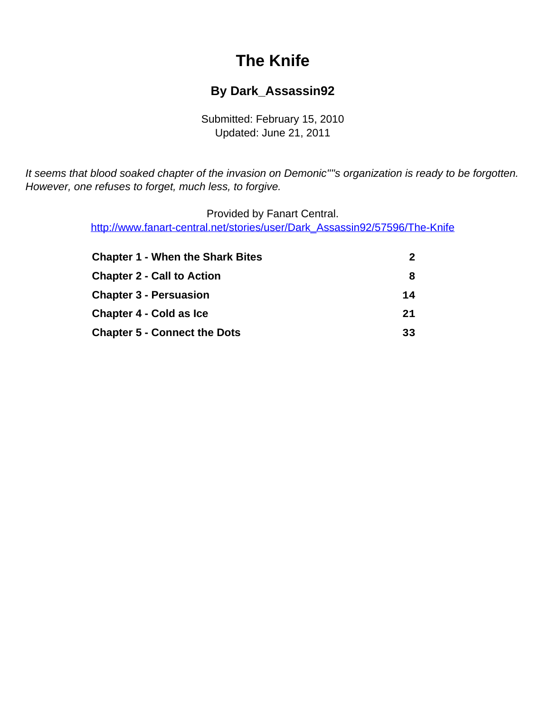# **The Knife**

### **By Dark\_Assassin92**

Submitted: February 15, 2010 Updated: June 21, 2011

<span id="page-0-0"></span>It seems that blood soaked chapter of the invasion on Demonic''''s organization is ready to be forgotten. However, one refuses to forget, much less, to forgive.

Provided by Fanart Central.

[http://www.fanart-central.net/stories/user/Dark\\_Assassin92/57596/The-Knife](#page-0-0)

| <b>Chapter 1 - When the Shark Bites</b> |    |
|-----------------------------------------|----|
| <b>Chapter 2 - Call to Action</b>       | 8  |
| <b>Chapter 3 - Persuasion</b>           | 14 |
| <b>Chapter 4 - Cold as Ice</b>          | 21 |
| <b>Chapter 5 - Connect the Dots</b>     | 33 |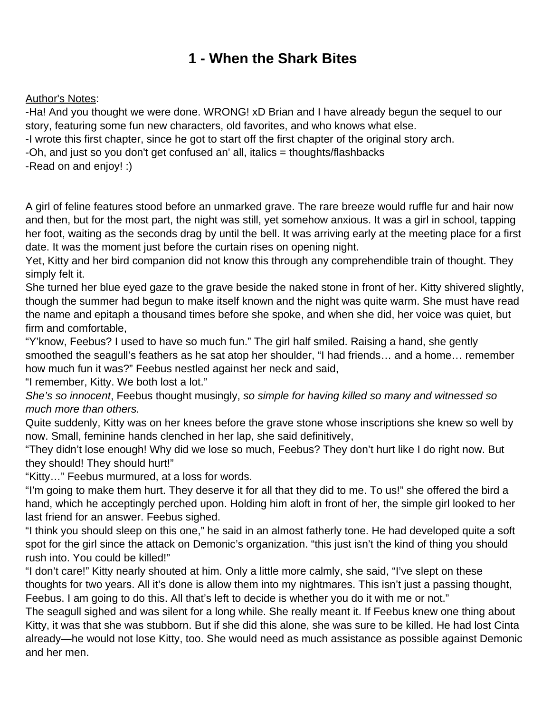## **1 - When the Shark Bites**

<span id="page-1-0"></span>Author's Notes:

-Ha! And you thought we were done. WRONG! xD Brian and I have already begun the sequel to our story, featuring some fun new characters, old favorites, and who knows what else.

-I wrote this first chapter, since he got to start off the first chapter of the original story arch.

-Oh, and just so you don't get confused an' all, italics = thoughts/flashbacks

-Read on and enjoy! :)

A girl of feline features stood before an unmarked grave. The rare breeze would ruffle fur and hair now and then, but for the most part, the night was still, yet somehow anxious. It was a girl in school, tapping her foot, waiting as the seconds drag by until the bell. It was arriving early at the meeting place for a first date. It was the moment just before the curtain rises on opening night.

Yet, Kitty and her bird companion did not know this through any comprehendible train of thought. They simply felt it.

She turned her blue eyed gaze to the grave beside the naked stone in front of her. Kitty shivered slightly, though the summer had begun to make itself known and the night was quite warm. She must have read the name and epitaph a thousand times before she spoke, and when she did, her voice was quiet, but firm and comfortable,

"Y'know, Feebus? I used to have so much fun." The girl half smiled. Raising a hand, she gently smoothed the seagull's feathers as he sat atop her shoulder, "I had friends… and a home… remember how much fun it was?" Feebus nestled against her neck and said,

"I remember, Kitty. We both lost a lot."

She's so innocent, Feebus thought musingly, so simple for having killed so many and witnessed so much more than others.

Quite suddenly, Kitty was on her knees before the grave stone whose inscriptions she knew so well by now. Small, feminine hands clenched in her lap, she said definitively,

"They didn't lose enough! Why did we lose so much, Feebus? They don't hurt like I do right now. But they should! They should hurt!"

"Kitty…" Feebus murmured, at a loss for words.

"I'm going to make them hurt. They deserve it for all that they did to me. To us!" she offered the bird a hand, which he acceptingly perched upon. Holding him aloft in front of her, the simple girl looked to her last friend for an answer. Feebus sighed.

"I think you should sleep on this one," he said in an almost fatherly tone. He had developed quite a soft spot for the girl since the attack on Demonic's organization. "this just isn't the kind of thing you should rush into. You could be killed!"

"I don't care!" Kitty nearly shouted at him. Only a little more calmly, she said, "I've slept on these thoughts for two years. All it's done is allow them into my nightmares. This isn't just a passing thought, Feebus. I am going to do this. All that's left to decide is whether you do it with me or not."

The seagull sighed and was silent for a long while. She really meant it. If Feebus knew one thing about Kitty, it was that she was stubborn. But if she did this alone, she was sure to be killed. He had lost Cinta already—he would not lose Kitty, too. She would need as much assistance as possible against Demonic and her men.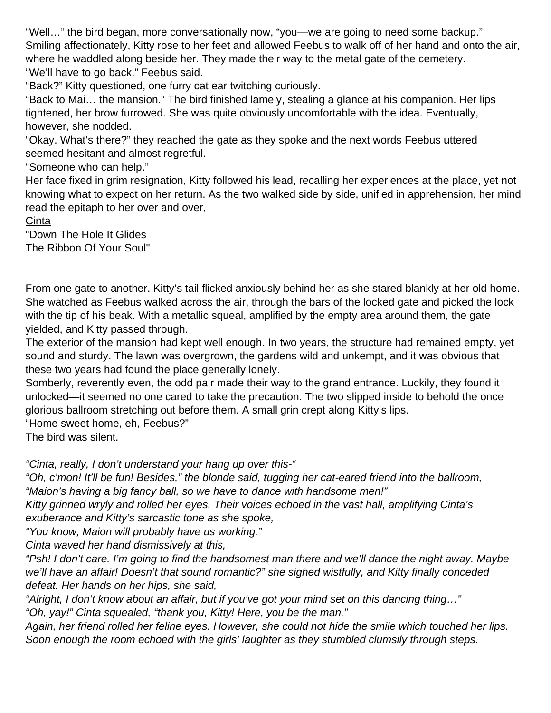"Well…" the bird began, more conversationally now, "you—we are going to need some backup." Smiling affectionately, Kitty rose to her feet and allowed Feebus to walk off of her hand and onto the air, where he waddled along beside her. They made their way to the metal gate of the cemetery. "We'll have to go back." Feebus said.

"Back?" Kitty questioned, one furry cat ear twitching curiously.

"Back to Mai… the mansion." The bird finished lamely, stealing a glance at his companion. Her lips tightened, her brow furrowed. She was quite obviously uncomfortable with the idea. Eventually, however, she nodded.

"Okay. What's there?" they reached the gate as they spoke and the next words Feebus uttered seemed hesitant and almost regretful.

"Someone who can help."

Her face fixed in grim resignation, Kitty followed his lead, recalling her experiences at the place, yet not knowing what to expect on her return. As the two walked side by side, unified in apprehension, her mind read the epitaph to her over and over,

**C**inta

"Down The Hole It Glides The Ribbon Of Your Soul"

From one gate to another. Kitty's tail flicked anxiously behind her as she stared blankly at her old home. She watched as Feebus walked across the air, through the bars of the locked gate and picked the lock with the tip of his beak. With a metallic squeal, amplified by the empty area around them, the gate yielded, and Kitty passed through.

The exterior of the mansion had kept well enough. In two years, the structure had remained empty, yet sound and sturdy. The lawn was overgrown, the gardens wild and unkempt, and it was obvious that these two years had found the place generally lonely.

Somberly, reverently even, the odd pair made their way to the grand entrance. Luckily, they found it unlocked—it seemed no one cared to take the precaution. The two slipped inside to behold the once glorious ballroom stretching out before them. A small grin crept along Kitty's lips.

"Home sweet home, eh, Feebus?"

The bird was silent.

"Cinta, really, I don't understand your hang up over this-"

"Oh, c'mon! It'll be fun! Besides," the blonde said, tugging her cat-eared friend into the ballroom, "Maion's having a big fancy ball, so we have to dance with handsome men!"

Kitty grinned wryly and rolled her eyes. Their voices echoed in the vast hall, amplifying Cinta's exuberance and Kitty's sarcastic tone as she spoke,

"You know, Maion will probably have us working."

Cinta waved her hand dismissively at this,

"Psh! I don't care. I'm going to find the handsomest man there and we'll dance the night away. Maybe we'll have an affair! Doesn't that sound romantic?" she sighed wistfully, and Kitty finally conceded defeat. Her hands on her hips, she said,

"Alright, I don't know about an affair, but if you've got your mind set on this dancing thing…"

"Oh, yay!" Cinta squealed, "thank you, Kitty! Here, you be the man."

Again, her friend rolled her feline eyes. However, she could not hide the smile which touched her lips. Soon enough the room echoed with the girls' laughter as they stumbled clumsily through steps.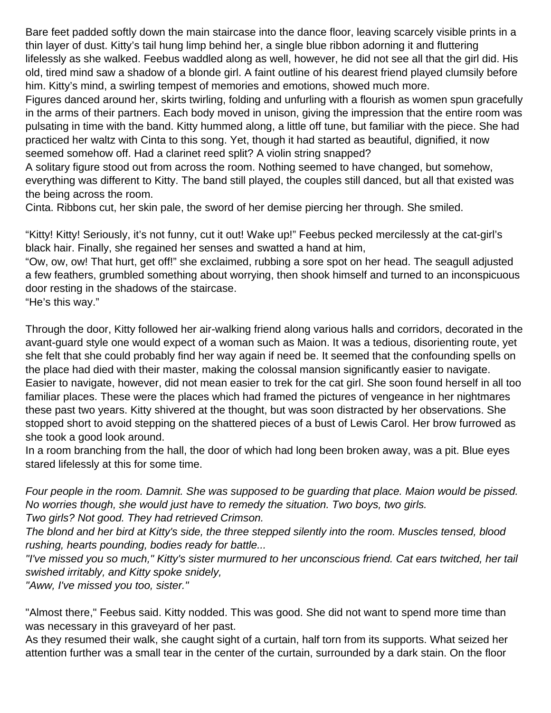Bare feet padded softly down the main staircase into the dance floor, leaving scarcely visible prints in a thin layer of dust. Kitty's tail hung limp behind her, a single blue ribbon adorning it and fluttering lifelessly as she walked. Feebus waddled along as well, however, he did not see all that the girl did. His old, tired mind saw a shadow of a blonde girl. A faint outline of his dearest friend played clumsily before him. Kitty's mind, a swirling tempest of memories and emotions, showed much more.

Figures danced around her, skirts twirling, folding and unfurling with a flourish as women spun gracefully in the arms of their partners. Each body moved in unison, giving the impression that the entire room was pulsating in time with the band. Kitty hummed along, a little off tune, but familiar with the piece. She had practiced her waltz with Cinta to this song. Yet, though it had started as beautiful, dignified, it now seemed somehow off. Had a clarinet reed split? A violin string snapped?

A solitary figure stood out from across the room. Nothing seemed to have changed, but somehow, everything was different to Kitty. The band still played, the couples still danced, but all that existed was the being across the room.

Cinta. Ribbons cut, her skin pale, the sword of her demise piercing her through. She smiled.

"Kitty! Kitty! Seriously, it's not funny, cut it out! Wake up!" Feebus pecked mercilessly at the cat-girl's black hair. Finally, she regained her senses and swatted a hand at him,

"Ow, ow, ow! That hurt, get off!" she exclaimed, rubbing a sore spot on her head. The seagull adjusted a few feathers, grumbled something about worrying, then shook himself and turned to an inconspicuous door resting in the shadows of the staircase.

"He's this way."

Through the door, Kitty followed her air-walking friend along various halls and corridors, decorated in the avant-guard style one would expect of a woman such as Maion. It was a tedious, disorienting route, yet she felt that she could probably find her way again if need be. It seemed that the confounding spells on the place had died with their master, making the colossal mansion significantly easier to navigate. Easier to navigate, however, did not mean easier to trek for the cat girl. She soon found herself in all too familiar places. These were the places which had framed the pictures of vengeance in her nightmares these past two years. Kitty shivered at the thought, but was soon distracted by her observations. She stopped short to avoid stepping on the shattered pieces of a bust of Lewis Carol. Her brow furrowed as she took a good look around.

In a room branching from the hall, the door of which had long been broken away, was a pit. Blue eyes stared lifelessly at this for some time.

Four people in the room. Damnit. She was supposed to be guarding that place. Maion would be pissed. No worries though, she would just have to remedy the situation. Two boys, two girls.

Two girls? Not good. They had retrieved Crimson.

The blond and her bird at Kitty's side, the three stepped silently into the room. Muscles tensed, blood rushing, hearts pounding, bodies ready for battle...

"I've missed you so much," Kitty's sister murmured to her unconscious friend. Cat ears twitched, her tail swished irritably, and Kitty spoke snidely,

"Aww, I've missed you too, sister."

"Almost there," Feebus said. Kitty nodded. This was good. She did not want to spend more time than was necessary in this graveyard of her past.

As they resumed their walk, she caught sight of a curtain, half torn from its supports. What seized her attention further was a small tear in the center of the curtain, surrounded by a dark stain. On the floor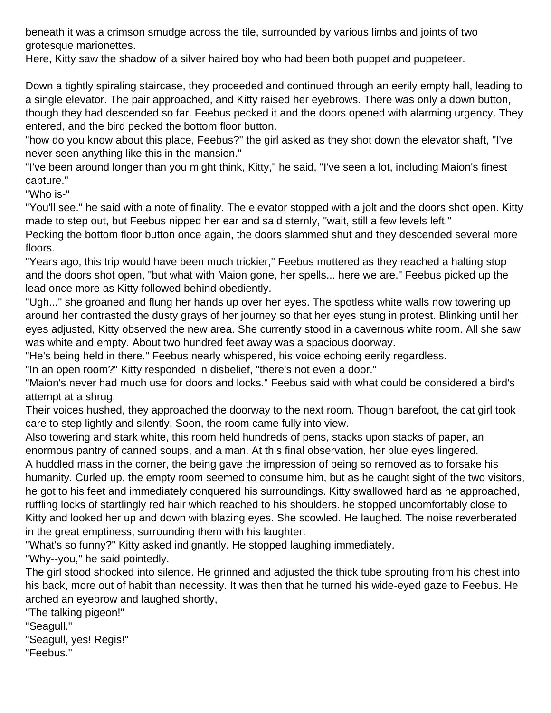beneath it was a crimson smudge across the tile, surrounded by various limbs and joints of two grotesque marionettes.

Here, Kitty saw the shadow of a silver haired boy who had been both puppet and puppeteer.

Down a tightly spiraling staircase, they proceeded and continued through an eerily empty hall, leading to a single elevator. The pair approached, and Kitty raised her eyebrows. There was only a down button, though they had descended so far. Feebus pecked it and the doors opened with alarming urgency. They entered, and the bird pecked the bottom floor button.

"how do you know about this place, Feebus?" the girl asked as they shot down the elevator shaft, "I've never seen anything like this in the mansion."

"I've been around longer than you might think, Kitty," he said, "I've seen a lot, including Maion's finest capture."

"Who is-"

"You'll see." he said with a note of finality. The elevator stopped with a jolt and the doors shot open. Kitty made to step out, but Feebus nipped her ear and said sternly, "wait, still a few levels left."

Pecking the bottom floor button once again, the doors slammed shut and they descended several more floors.

"Years ago, this trip would have been much trickier," Feebus muttered as they reached a halting stop and the doors shot open, "but what with Maion gone, her spells... here we are." Feebus picked up the lead once more as Kitty followed behind obediently.

"Ugh..." she groaned and flung her hands up over her eyes. The spotless white walls now towering up around her contrasted the dusty grays of her journey so that her eyes stung in protest. Blinking until her eyes adjusted, Kitty observed the new area. She currently stood in a cavernous white room. All she saw was white and empty. About two hundred feet away was a spacious doorway.

"He's being held in there." Feebus nearly whispered, his voice echoing eerily regardless.

"In an open room?" Kitty responded in disbelief, "there's not even a door."

"Maion's never had much use for doors and locks." Feebus said with what could be considered a bird's attempt at a shrug.

Their voices hushed, they approached the doorway to the next room. Though barefoot, the cat girl took care to step lightly and silently. Soon, the room came fully into view.

Also towering and stark white, this room held hundreds of pens, stacks upon stacks of paper, an enormous pantry of canned soups, and a man. At this final observation, her blue eyes lingered.

A huddled mass in the corner, the being gave the impression of being so removed as to forsake his humanity. Curled up, the empty room seemed to consume him, but as he caught sight of the two visitors, he got to his feet and immediately conquered his surroundings. Kitty swallowed hard as he approached, ruffling locks of startlingly red hair which reached to his shoulders. he stopped uncomfortably close to Kitty and looked her up and down with blazing eyes. She scowled. He laughed. The noise reverberated in the great emptiness, surrounding them with his laughter.

"What's so funny?" Kitty asked indignantly. He stopped laughing immediately.

"Why--you," he said pointedly.

The girl stood shocked into silence. He grinned and adjusted the thick tube sprouting from his chest into his back, more out of habit than necessity. It was then that he turned his wide-eyed gaze to Feebus. He arched an eyebrow and laughed shortly,

"The talking pigeon!"

"Seagull."

"Seagull, yes! Regis!"

"Feebus."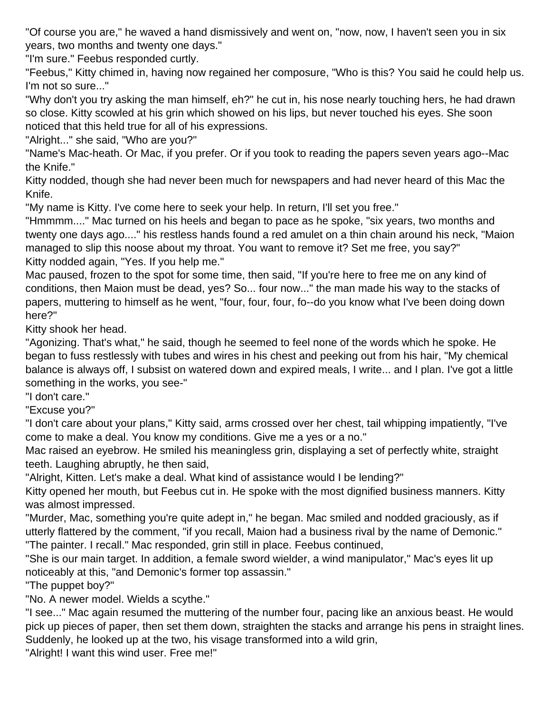"Of course you are," he waved a hand dismissively and went on, "now, now, I haven't seen you in six years, two months and twenty one days."

"I'm sure." Feebus responded curtly.

"Feebus," Kitty chimed in, having now regained her composure, "Who is this? You said he could help us. I'm not so sure..."

"Why don't you try asking the man himself, eh?" he cut in, his nose nearly touching hers, he had drawn so close. Kitty scowled at his grin which showed on his lips, but never touched his eyes. She soon noticed that this held true for all of his expressions.

"Alright..." she said, "Who are you?"

"Name's Mac-heath. Or Mac, if you prefer. Or if you took to reading the papers seven years ago--Mac the Knife."

Kitty nodded, though she had never been much for newspapers and had never heard of this Mac the Knife.

"My name is Kitty. I've come here to seek your help. In return, I'll set you free."

"Hmmmm...." Mac turned on his heels and began to pace as he spoke, "six years, two months and twenty one days ago...." his restless hands found a red amulet on a thin chain around his neck, "Maion managed to slip this noose about my throat. You want to remove it? Set me free, you say?" Kitty nodded again, "Yes. If you help me."

Mac paused, frozen to the spot for some time, then said, "If you're here to free me on any kind of conditions, then Maion must be dead, yes? So... four now..." the man made his way to the stacks of papers, muttering to himself as he went, "four, four, four, fo--do you know what I've been doing down here?"

Kitty shook her head.

"Agonizing. That's what," he said, though he seemed to feel none of the words which he spoke. He began to fuss restlessly with tubes and wires in his chest and peeking out from his hair, "My chemical balance is always off, I subsist on watered down and expired meals, I write... and I plan. I've got a little something in the works, you see-"

"I don't care."

"Excuse you?"

"I don't care about your plans," Kitty said, arms crossed over her chest, tail whipping impatiently, "I've come to make a deal. You know my conditions. Give me a yes or a no."

Mac raised an eyebrow. He smiled his meaningless grin, displaying a set of perfectly white, straight teeth. Laughing abruptly, he then said,

"Alright, Kitten. Let's make a deal. What kind of assistance would I be lending?"

Kitty opened her mouth, but Feebus cut in. He spoke with the most dignified business manners. Kitty was almost impressed.

"Murder, Mac, something you're quite adept in," he began. Mac smiled and nodded graciously, as if utterly flattered by the comment, "if you recall, Maion had a business rival by the name of Demonic." "The painter. I recall." Mac responded, grin still in place. Feebus continued,

"She is our main target. In addition, a female sword wielder, a wind manipulator," Mac's eyes lit up noticeably at this, "and Demonic's former top assassin."

"The puppet boy?"

"No. A newer model. Wields a scythe."

"I see..." Mac again resumed the muttering of the number four, pacing like an anxious beast. He would pick up pieces of paper, then set them down, straighten the stacks and arrange his pens in straight lines. Suddenly, he looked up at the two, his visage transformed into a wild grin,

"Alright! I want this wind user. Free me!"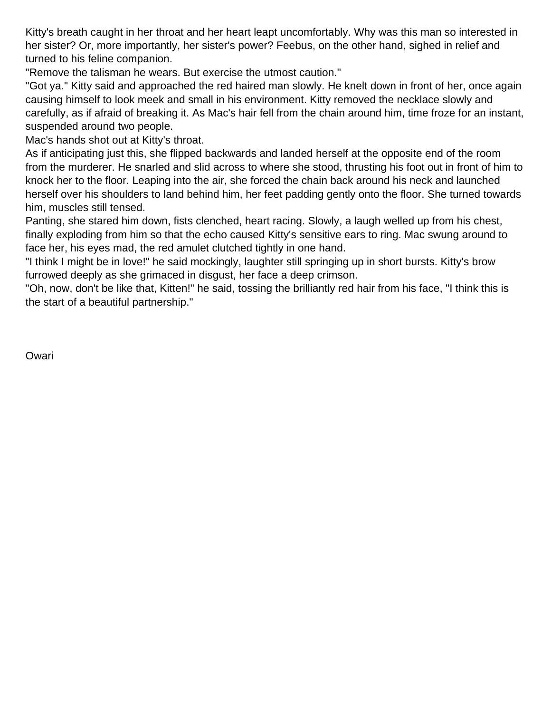Kitty's breath caught in her throat and her heart leapt uncomfortably. Why was this man so interested in her sister? Or, more importantly, her sister's power? Feebus, on the other hand, sighed in relief and turned to his feline companion.

"Remove the talisman he wears. But exercise the utmost caution."

"Got ya." Kitty said and approached the red haired man slowly. He knelt down in front of her, once again causing himself to look meek and small in his environment. Kitty removed the necklace slowly and carefully, as if afraid of breaking it. As Mac's hair fell from the chain around him, time froze for an instant, suspended around two people.

Mac's hands shot out at Kitty's throat.

As if anticipating just this, she flipped backwards and landed herself at the opposite end of the room from the murderer. He snarled and slid across to where she stood, thrusting his foot out in front of him to knock her to the floor. Leaping into the air, she forced the chain back around his neck and launched herself over his shoulders to land behind him, her feet padding gently onto the floor. She turned towards him, muscles still tensed.

Panting, she stared him down, fists clenched, heart racing. Slowly, a laugh welled up from his chest, finally exploding from him so that the echo caused Kitty's sensitive ears to ring. Mac swung around to face her, his eyes mad, the red amulet clutched tightly in one hand.

"I think I might be in love!" he said mockingly, laughter still springing up in short bursts. Kitty's brow furrowed deeply as she grimaced in disgust, her face a deep crimson.

"Oh, now, don't be like that, Kitten!" he said, tossing the brilliantly red hair from his face, "I think this is the start of a beautiful partnership."

**Owari**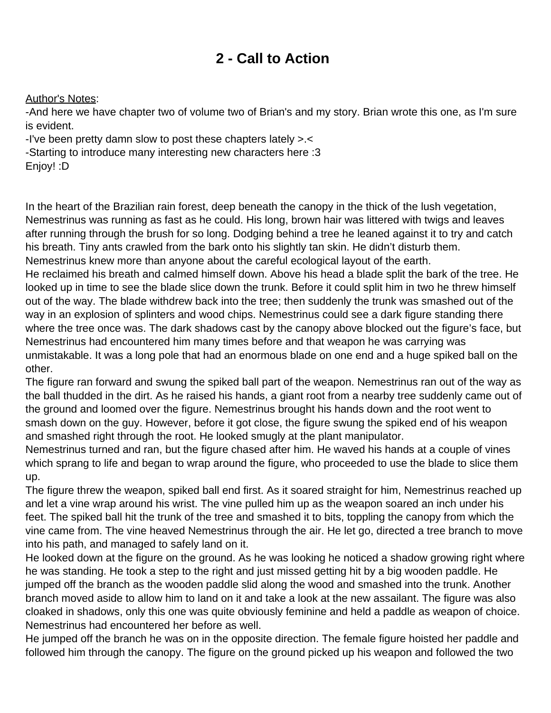# **2 - Call to Action**

#### <span id="page-7-0"></span>Author's Notes:

-And here we have chapter two of volume two of Brian's and my story. Brian wrote this one, as I'm sure is evident.

-I've been pretty damn slow to post these chapters lately >.<

-Starting to introduce many interesting new characters here :3

Enjoy! :D

In the heart of the Brazilian rain forest, deep beneath the canopy in the thick of the lush vegetation, Nemestrinus was running as fast as he could. His long, brown hair was littered with twigs and leaves after running through the brush for so long. Dodging behind a tree he leaned against it to try and catch his breath. Tiny ants crawled from the bark onto his slightly tan skin. He didn't disturb them. Nemestrinus knew more than anyone about the careful ecological layout of the earth.

He reclaimed his breath and calmed himself down. Above his head a blade split the bark of the tree. He looked up in time to see the blade slice down the trunk. Before it could split him in two he threw himself out of the way. The blade withdrew back into the tree; then suddenly the trunk was smashed out of the way in an explosion of splinters and wood chips. Nemestrinus could see a dark figure standing there where the tree once was. The dark shadows cast by the canopy above blocked out the figure's face, but Nemestrinus had encountered him many times before and that weapon he was carrying was unmistakable. It was a long pole that had an enormous blade on one end and a huge spiked ball on the other.

The figure ran forward and swung the spiked ball part of the weapon. Nemestrinus ran out of the way as the ball thudded in the dirt. As he raised his hands, a giant root from a nearby tree suddenly came out of the ground and loomed over the figure. Nemestrinus brought his hands down and the root went to smash down on the guy. However, before it got close, the figure swung the spiked end of his weapon and smashed right through the root. He looked smugly at the plant manipulator.

Nemestrinus turned and ran, but the figure chased after him. He waved his hands at a couple of vines which sprang to life and began to wrap around the figure, who proceeded to use the blade to slice them up.

The figure threw the weapon, spiked ball end first. As it soared straight for him, Nemestrinus reached up and let a vine wrap around his wrist. The vine pulled him up as the weapon soared an inch under his feet. The spiked ball hit the trunk of the tree and smashed it to bits, toppling the canopy from which the vine came from. The vine heaved Nemestrinus through the air. He let go, directed a tree branch to move into his path, and managed to safely land on it.

He looked down at the figure on the ground. As he was looking he noticed a shadow growing right where he was standing. He took a step to the right and just missed getting hit by a big wooden paddle. He jumped off the branch as the wooden paddle slid along the wood and smashed into the trunk. Another branch moved aside to allow him to land on it and take a look at the new assailant. The figure was also cloaked in shadows, only this one was quite obviously feminine and held a paddle as weapon of choice. Nemestrinus had encountered her before as well.

He jumped off the branch he was on in the opposite direction. The female figure hoisted her paddle and followed him through the canopy. The figure on the ground picked up his weapon and followed the two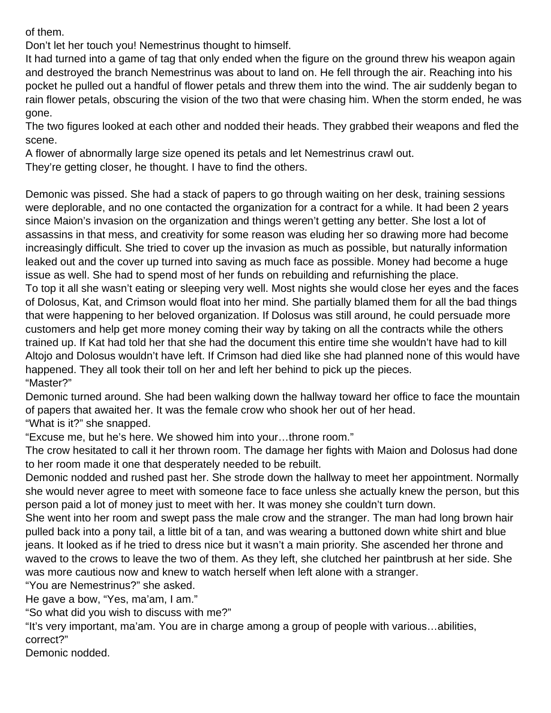of them.

Don't let her touch you! Nemestrinus thought to himself.

It had turned into a game of tag that only ended when the figure on the ground threw his weapon again and destroyed the branch Nemestrinus was about to land on. He fell through the air. Reaching into his pocket he pulled out a handful of flower petals and threw them into the wind. The air suddenly began to rain flower petals, obscuring the vision of the two that were chasing him. When the storm ended, he was gone.

The two figures looked at each other and nodded their heads. They grabbed their weapons and fled the scene.

A flower of abnormally large size opened its petals and let Nemestrinus crawl out.

They're getting closer, he thought. I have to find the others.

Demonic was pissed. She had a stack of papers to go through waiting on her desk, training sessions were deplorable, and no one contacted the organization for a contract for a while. It had been 2 years since Maion's invasion on the organization and things weren't getting any better. She lost a lot of assassins in that mess, and creativity for some reason was eluding her so drawing more had become increasingly difficult. She tried to cover up the invasion as much as possible, but naturally information leaked out and the cover up turned into saving as much face as possible. Money had become a huge issue as well. She had to spend most of her funds on rebuilding and refurnishing the place.

To top it all she wasn't eating or sleeping very well. Most nights she would close her eyes and the faces of Dolosus, Kat, and Crimson would float into her mind. She partially blamed them for all the bad things that were happening to her beloved organization. If Dolosus was still around, he could persuade more customers and help get more money coming their way by taking on all the contracts while the others trained up. If Kat had told her that she had the document this entire time she wouldn't have had to kill Altojo and Dolosus wouldn't have left. If Crimson had died like she had planned none of this would have happened. They all took their toll on her and left her behind to pick up the pieces. "Master?"

Demonic turned around. She had been walking down the hallway toward her office to face the mountain of papers that awaited her. It was the female crow who shook her out of her head.

"What is it?" she snapped.

"Excuse me, but he's here. We showed him into your…throne room."

The crow hesitated to call it her thrown room. The damage her fights with Maion and Dolosus had done to her room made it one that desperately needed to be rebuilt.

Demonic nodded and rushed past her. She strode down the hallway to meet her appointment. Normally she would never agree to meet with someone face to face unless she actually knew the person, but this person paid a lot of money just to meet with her. It was money she couldn't turn down.

She went into her room and swept pass the male crow and the stranger. The man had long brown hair pulled back into a pony tail, a little bit of a tan, and was wearing a buttoned down white shirt and blue jeans. It looked as if he tried to dress nice but it wasn't a main priority. She ascended her throne and waved to the crows to leave the two of them. As they left, she clutched her paintbrush at her side. She was more cautious now and knew to watch herself when left alone with a stranger.

"You are Nemestrinus?" she asked.

He gave a bow, "Yes, ma'am, I am."

"So what did you wish to discuss with me?"

"It's very important, ma'am. You are in charge among a group of people with various…abilities, correct?"

Demonic nodded.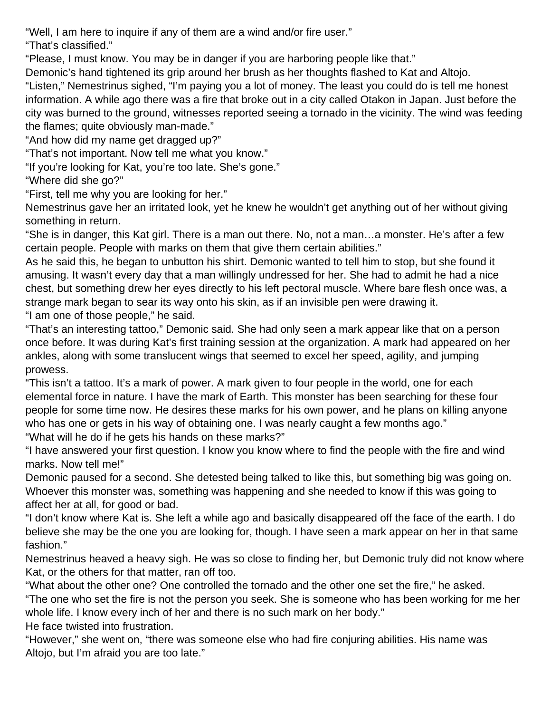"Well, I am here to inquire if any of them are a wind and/or fire user."

"That's classified."

"Please, I must know. You may be in danger if you are harboring people like that."

Demonic's hand tightened its grip around her brush as her thoughts flashed to Kat and Altojo.

"Listen," Nemestrinus sighed, "I'm paying you a lot of money. The least you could do is tell me honest information. A while ago there was a fire that broke out in a city called Otakon in Japan. Just before the city was burned to the ground, witnesses reported seeing a tornado in the vicinity. The wind was feeding the flames; quite obviously man-made."

"And how did my name get dragged up?"

"That's not important. Now tell me what you know."

"If you're looking for Kat, you're too late. She's gone."

"Where did she go?"

"First, tell me why you are looking for her."

Nemestrinus gave her an irritated look, yet he knew he wouldn't get anything out of her without giving something in return.

"She is in danger, this Kat girl. There is a man out there. No, not a man…a monster. He's after a few certain people. People with marks on them that give them certain abilities."

As he said this, he began to unbutton his shirt. Demonic wanted to tell him to stop, but she found it amusing. It wasn't every day that a man willingly undressed for her. She had to admit he had a nice chest, but something drew her eyes directly to his left pectoral muscle. Where bare flesh once was, a strange mark began to sear its way onto his skin, as if an invisible pen were drawing it. "I am one of those people," he said.

"That's an interesting tattoo," Demonic said. She had only seen a mark appear like that on a person once before. It was during Kat's first training session at the organization. A mark had appeared on her ankles, along with some translucent wings that seemed to excel her speed, agility, and jumping prowess.

"This isn't a tattoo. It's a mark of power. A mark given to four people in the world, one for each elemental force in nature. I have the mark of Earth. This monster has been searching for these four people for some time now. He desires these marks for his own power, and he plans on killing anyone who has one or gets in his way of obtaining one. I was nearly caught a few months ago." "What will he do if he gets his hands on these marks?"

"I have answered your first question. I know you know where to find the people with the fire and wind marks. Now tell me!"

Demonic paused for a second. She detested being talked to like this, but something big was going on. Whoever this monster was, something was happening and she needed to know if this was going to affect her at all, for good or bad.

"I don't know where Kat is. She left a while ago and basically disappeared off the face of the earth. I do believe she may be the one you are looking for, though. I have seen a mark appear on her in that same fashion."

Nemestrinus heaved a heavy sigh. He was so close to finding her, but Demonic truly did not know where Kat, or the others for that matter, ran off too.

"What about the other one? One controlled the tornado and the other one set the fire," he asked.

"The one who set the fire is not the person you seek. She is someone who has been working for me her whole life. I know every inch of her and there is no such mark on her body." He face twisted into frustration.

"However," she went on, "there was someone else who had fire conjuring abilities. His name was Altojo, but I'm afraid you are too late."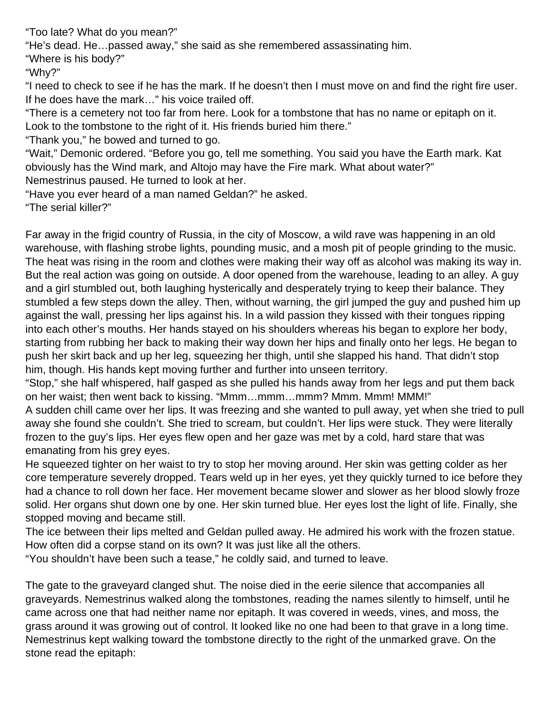"Too late? What do you mean?"

"He's dead. He…passed away," she said as she remembered assassinating him.

"Where is his body?"

"Why?"

"I need to check to see if he has the mark. If he doesn't then I must move on and find the right fire user. If he does have the mark…" his voice trailed off.

"There is a cemetery not too far from here. Look for a tombstone that has no name or epitaph on it. Look to the tombstone to the right of it. His friends buried him there."

"Thank you," he bowed and turned to go.

"Wait," Demonic ordered. "Before you go, tell me something. You said you have the Earth mark. Kat obviously has the Wind mark, and Altojo may have the Fire mark. What about water?"

Nemestrinus paused. He turned to look at her.

"Have you ever heard of a man named Geldan?" he asked.

"The serial killer?"

Far away in the frigid country of Russia, in the city of Moscow, a wild rave was happening in an old warehouse, with flashing strobe lights, pounding music, and a mosh pit of people grinding to the music. The heat was rising in the room and clothes were making their way off as alcohol was making its way in. But the real action was going on outside. A door opened from the warehouse, leading to an alley. A guy and a girl stumbled out, both laughing hysterically and desperately trying to keep their balance. They stumbled a few steps down the alley. Then, without warning, the girl jumped the guy and pushed him up against the wall, pressing her lips against his. In a wild passion they kissed with their tongues ripping into each other's mouths. Her hands stayed on his shoulders whereas his began to explore her body, starting from rubbing her back to making their way down her hips and finally onto her legs. He began to push her skirt back and up her leg, squeezing her thigh, until she slapped his hand. That didn't stop him, though. His hands kept moving further and further into unseen territory.

"Stop," she half whispered, half gasped as she pulled his hands away from her legs and put them back on her waist; then went back to kissing. "Mmm…mmm…mmm? Mmm. Mmm! MMM!"

A sudden chill came over her lips. It was freezing and she wanted to pull away, yet when she tried to pull away she found she couldn't. She tried to scream, but couldn't. Her lips were stuck. They were literally frozen to the guy's lips. Her eyes flew open and her gaze was met by a cold, hard stare that was emanating from his grey eyes.

He squeezed tighter on her waist to try to stop her moving around. Her skin was getting colder as her core temperature severely dropped. Tears weld up in her eyes, yet they quickly turned to ice before they had a chance to roll down her face. Her movement became slower and slower as her blood slowly froze solid. Her organs shut down one by one. Her skin turned blue. Her eyes lost the light of life. Finally, she stopped moving and became still.

The ice between their lips melted and Geldan pulled away. He admired his work with the frozen statue. How often did a corpse stand on its own? It was just like all the others.

"You shouldn't have been such a tease," he coldly said, and turned to leave.

The gate to the graveyard clanged shut. The noise died in the eerie silence that accompanies all graveyards. Nemestrinus walked along the tombstones, reading the names silently to himself, until he came across one that had neither name nor epitaph. It was covered in weeds, vines, and moss, the grass around it was growing out of control. It looked like no one had been to that grave in a long time. Nemestrinus kept walking toward the tombstone directly to the right of the unmarked grave. On the stone read the epitaph: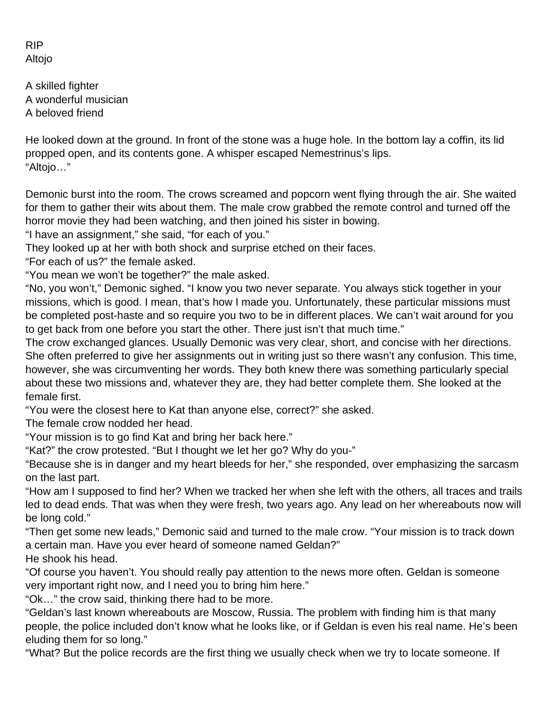RIP Altojo

A skilled fighter A wonderful musician A beloved friend

He looked down at the ground. In front of the stone was a huge hole. In the bottom lay a coffin, its lid propped open, and its contents gone. A whisper escaped Nemestrinus's lips. "Altojo…"

Demonic burst into the room. The crows screamed and popcorn went flying through the air. She waited for them to gather their wits about them. The male crow grabbed the remote control and turned off the horror movie they had been watching, and then joined his sister in bowing.

"I have an assignment," she said, "for each of you."

They looked up at her with both shock and surprise etched on their faces.

"For each of us?" the female asked.

"You mean we won't be together?" the male asked.

"No, you won't," Demonic sighed. "I know you two never separate. You always stick together in your missions, which is good. I mean, that's how I made you. Unfortunately, these particular missions must be completed post-haste and so require you two to be in different places. We can't wait around for you to get back from one before you start the other. There just isn't that much time."

The crow exchanged glances. Usually Demonic was very clear, short, and concise with her directions. She often preferred to give her assignments out in writing just so there wasn't any confusion. This time, however, she was circumventing her words. They both knew there was something particularly special about these two missions and, whatever they are, they had better complete them. She looked at the female first.

"You were the closest here to Kat than anyone else, correct?" she asked.

The female crow nodded her head.

"Your mission is to go find Kat and bring her back here."

"Kat?" the crow protested. "But I thought we let her go? Why do you-"

"Because she is in danger and my heart bleeds for her," she responded, over emphasizing the sarcasm on the last part.

"How am I supposed to find her? When we tracked her when she left with the others, all traces and trails led to dead ends. That was when they were fresh, two years ago. Any lead on her whereabouts now will be long cold."

"Then get some new leads," Demonic said and turned to the male crow. "Your mission is to track down a certain man. Have you ever heard of someone named Geldan?"

He shook his head.

"Of course you haven't. You should really pay attention to the news more often. Geldan is someone very important right now, and I need you to bring him here."

"Ok…" the crow said, thinking there had to be more.

"Geldan's last known whereabouts are Moscow, Russia. The problem with finding him is that many people, the police included don't know what he looks like, or if Geldan is even his real name. He's been eluding them for so long."

"What? But the police records are the first thing we usually check when we try to locate someone. If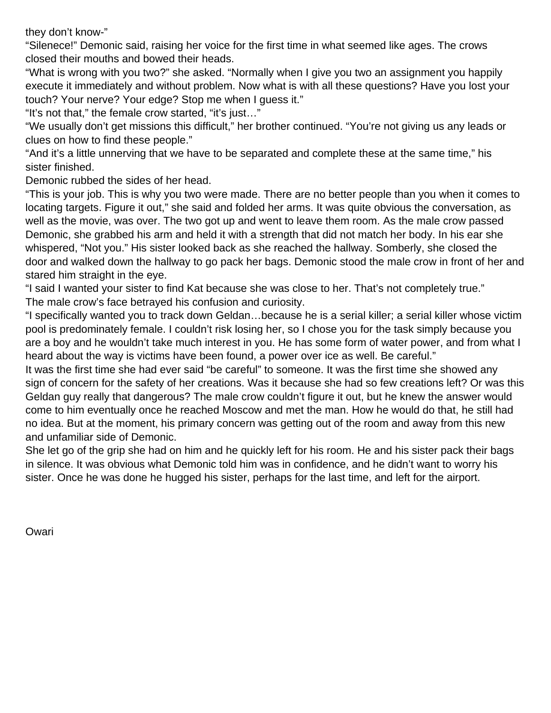they don't know-"

"Silenece!" Demonic said, raising her voice for the first time in what seemed like ages. The crows closed their mouths and bowed their heads.

"What is wrong with you two?" she asked. "Normally when I give you two an assignment you happily execute it immediately and without problem. Now what is with all these questions? Have you lost your touch? Your nerve? Your edge? Stop me when I guess it."

"It's not that," the female crow started, "it's just…"

"We usually don't get missions this difficult," her brother continued. "You're not giving us any leads or clues on how to find these people."

"And it's a little unnerving that we have to be separated and complete these at the same time," his sister finished.

Demonic rubbed the sides of her head.

"This is your job. This is why you two were made. There are no better people than you when it comes to locating targets. Figure it out," she said and folded her arms. It was quite obvious the conversation, as well as the movie, was over. The two got up and went to leave them room. As the male crow passed Demonic, she grabbed his arm and held it with a strength that did not match her body. In his ear she whispered, "Not you." His sister looked back as she reached the hallway. Somberly, she closed the door and walked down the hallway to go pack her bags. Demonic stood the male crow in front of her and stared him straight in the eye.

"I said I wanted your sister to find Kat because she was close to her. That's not completely true." The male crow's face betrayed his confusion and curiosity.

"I specifically wanted you to track down Geldan…because he is a serial killer; a serial killer whose victim pool is predominately female. I couldn't risk losing her, so I chose you for the task simply because you are a boy and he wouldn't take much interest in you. He has some form of water power, and from what I heard about the way is victims have been found, a power over ice as well. Be careful."

It was the first time she had ever said "be careful" to someone. It was the first time she showed any sign of concern for the safety of her creations. Was it because she had so few creations left? Or was this Geldan guy really that dangerous? The male crow couldn't figure it out, but he knew the answer would come to him eventually once he reached Moscow and met the man. How he would do that, he still had no idea. But at the moment, his primary concern was getting out of the room and away from this new and unfamiliar side of Demonic.

She let go of the grip she had on him and he quickly left for his room. He and his sister pack their bags in silence. It was obvious what Demonic told him was in confidence, and he didn't want to worry his sister. Once he was done he hugged his sister, perhaps for the last time, and left for the airport.

**Owari**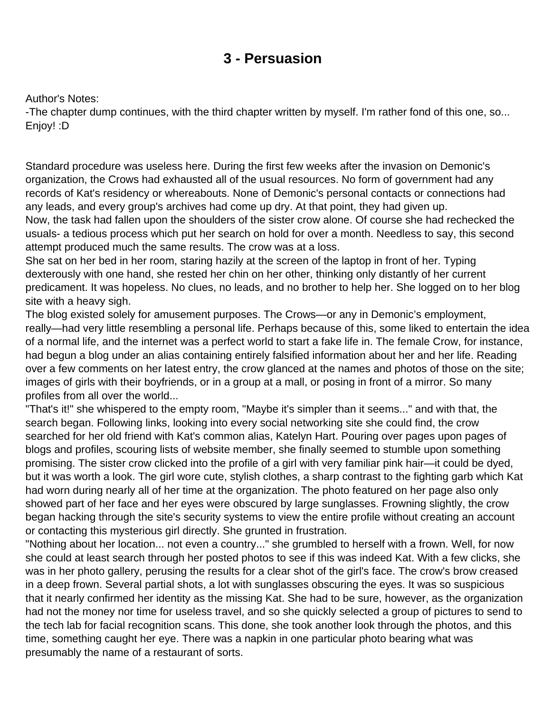### **3 - Persuasion**

<span id="page-13-0"></span>Author's Notes:

-The chapter dump continues, with the third chapter written by myself. I'm rather fond of this one, so... Enjoy! :D

Standard procedure was useless here. During the first few weeks after the invasion on Demonic's organization, the Crows had exhausted all of the usual resources. No form of government had any records of Kat's residency or whereabouts. None of Demonic's personal contacts or connections had any leads, and every group's archives had come up dry. At that point, they had given up. Now, the task had fallen upon the shoulders of the sister crow alone. Of course she had rechecked the usuals- a tedious process which put her search on hold for over a month. Needless to say, this second

attempt produced much the same results. The crow was at a loss.

She sat on her bed in her room, staring hazily at the screen of the laptop in front of her. Typing dexterously with one hand, she rested her chin on her other, thinking only distantly of her current predicament. It was hopeless. No clues, no leads, and no brother to help her. She logged on to her blog site with a heavy sigh.

The blog existed solely for amusement purposes. The Crows—or any in Demonic's employment, really—had very little resembling a personal life. Perhaps because of this, some liked to entertain the idea of a normal life, and the internet was a perfect world to start a fake life in. The female Crow, for instance, had begun a blog under an alias containing entirely falsified information about her and her life. Reading over a few comments on her latest entry, the crow glanced at the names and photos of those on the site; images of girls with their boyfriends, or in a group at a mall, or posing in front of a mirror. So many profiles from all over the world...

"That's it!" she whispered to the empty room, "Maybe it's simpler than it seems..." and with that, the search began. Following links, looking into every social networking site she could find, the crow searched for her old friend with Kat's common alias, Katelyn Hart. Pouring over pages upon pages of blogs and profiles, scouring lists of website member, she finally seemed to stumble upon something promising. The sister crow clicked into the profile of a girl with very familiar pink hair—it could be dyed, but it was worth a look. The girl wore cute, stylish clothes, a sharp contrast to the fighting garb which Kat had worn during nearly all of her time at the organization. The photo featured on her page also only showed part of her face and her eyes were obscured by large sunglasses. Frowning slightly, the crow began hacking through the site's security systems to view the entire profile without creating an account or contacting this mysterious girl directly. She grunted in frustration.

"Nothing about her location... not even a country..." she grumbled to herself with a frown. Well, for now she could at least search through her posted photos to see if this was indeed Kat. With a few clicks, she was in her photo gallery, perusing the results for a clear shot of the girl's face. The crow's brow creased in a deep frown. Several partial shots, a lot with sunglasses obscuring the eyes. It was so suspicious that it nearly confirmed her identity as the missing Kat. She had to be sure, however, as the organization had not the money nor time for useless travel, and so she quickly selected a group of pictures to send to the tech lab for facial recognition scans. This done, she took another look through the photos, and this time, something caught her eye. There was a napkin in one particular photo bearing what was presumably the name of a restaurant of sorts.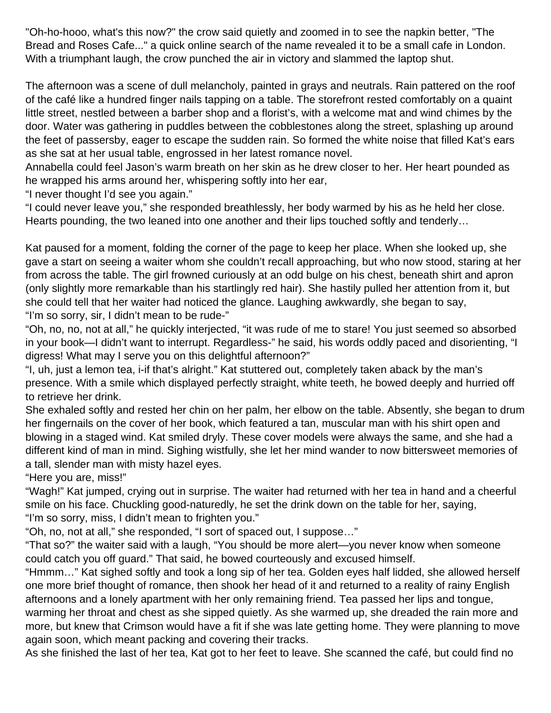"Oh-ho-hooo, what's this now?" the crow said quietly and zoomed in to see the napkin better, "The Bread and Roses Cafe..." a quick online search of the name revealed it to be a small cafe in London. With a triumphant laugh, the crow punched the air in victory and slammed the laptop shut.

The afternoon was a scene of dull melancholy, painted in grays and neutrals. Rain pattered on the roof of the café like a hundred finger nails tapping on a table. The storefront rested comfortably on a quaint little street, nestled between a barber shop and a florist's, with a welcome mat and wind chimes by the door. Water was gathering in puddles between the cobblestones along the street, splashing up around the feet of passersby, eager to escape the sudden rain. So formed the white noise that filled Kat's ears as she sat at her usual table, engrossed in her latest romance novel.

Annabella could feel Jason's warm breath on her skin as he drew closer to her. Her heart pounded as he wrapped his arms around her, whispering softly into her ear,

"I never thought I'd see you again."

"I could never leave you," she responded breathlessly, her body warmed by his as he held her close. Hearts pounding, the two leaned into one another and their lips touched softly and tenderly…

Kat paused for a moment, folding the corner of the page to keep her place. When she looked up, she gave a start on seeing a waiter whom she couldn't recall approaching, but who now stood, staring at her from across the table. The girl frowned curiously at an odd bulge on his chest, beneath shirt and apron (only slightly more remarkable than his startlingly red hair). She hastily pulled her attention from it, but she could tell that her waiter had noticed the glance. Laughing awkwardly, she began to say, "I'm so sorry, sir, I didn't mean to be rude-"

"Oh, no, no, not at all," he quickly interjected, "it was rude of me to stare! You just seemed so absorbed in your book—I didn't want to interrupt. Regardless-" he said, his words oddly paced and disorienting, "I digress! What may I serve you on this delightful afternoon?"

"I, uh, just a lemon tea, i-if that's alright." Kat stuttered out, completely taken aback by the man's presence. With a smile which displayed perfectly straight, white teeth, he bowed deeply and hurried off to retrieve her drink.

She exhaled softly and rested her chin on her palm, her elbow on the table. Absently, she began to drum her fingernails on the cover of her book, which featured a tan, muscular man with his shirt open and blowing in a staged wind. Kat smiled dryly. These cover models were always the same, and she had a different kind of man in mind. Sighing wistfully, she let her mind wander to now bittersweet memories of a tall, slender man with misty hazel eyes.

"Here you are, miss!"

"Wagh!" Kat jumped, crying out in surprise. The waiter had returned with her tea in hand and a cheerful smile on his face. Chuckling good-naturedly, he set the drink down on the table for her, saying, "I'm so sorry, miss, I didn't mean to frighten you."

"Oh, no, not at all," she responded, "I sort of spaced out, I suppose…"

"That so?" the waiter said with a laugh, "You should be more alert—you never know when someone could catch you off guard." That said, he bowed courteously and excused himself.

"Hmmm…" Kat sighed softly and took a long sip of her tea. Golden eyes half lidded, she allowed herself one more brief thought of romance, then shook her head of it and returned to a reality of rainy English afternoons and a lonely apartment with her only remaining friend. Tea passed her lips and tongue, warming her throat and chest as she sipped quietly. As she warmed up, she dreaded the rain more and more, but knew that Crimson would have a fit if she was late getting home. They were planning to move again soon, which meant packing and covering their tracks.

As she finished the last of her tea, Kat got to her feet to leave. She scanned the café, but could find no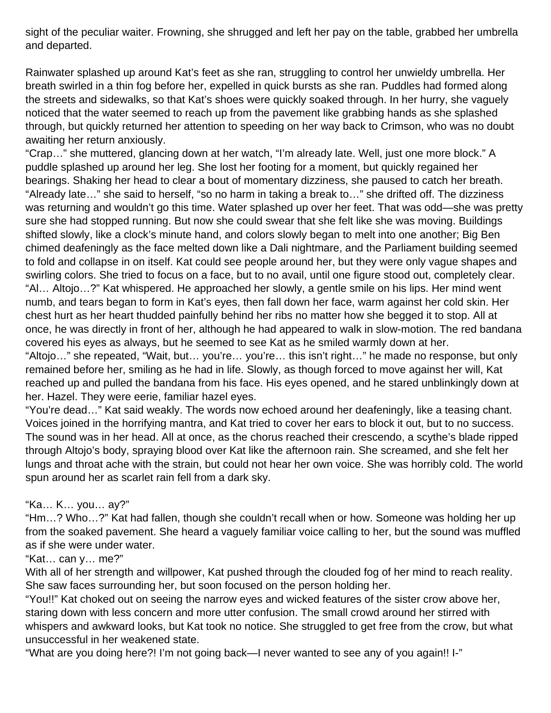sight of the peculiar waiter. Frowning, she shrugged and left her pay on the table, grabbed her umbrella and departed.

Rainwater splashed up around Kat's feet as she ran, struggling to control her unwieldy umbrella. Her breath swirled in a thin fog before her, expelled in quick bursts as she ran. Puddles had formed along the streets and sidewalks, so that Kat's shoes were quickly soaked through. In her hurry, she vaguely noticed that the water seemed to reach up from the pavement like grabbing hands as she splashed through, but quickly returned her attention to speeding on her way back to Crimson, who was no doubt awaiting her return anxiously.

"Crap…" she muttered, glancing down at her watch, "I'm already late. Well, just one more block." A puddle splashed up around her leg. She lost her footing for a moment, but quickly regained her bearings. Shaking her head to clear a bout of momentary dizziness, she paused to catch her breath. "Already late…" she said to herself, "so no harm in taking a break to…" she drifted off. The dizziness was returning and wouldn't go this time. Water splashed up over her feet. That was odd—she was pretty sure she had stopped running. But now she could swear that she felt like she was moving. Buildings shifted slowly, like a clock's minute hand, and colors slowly began to melt into one another; Big Ben chimed deafeningly as the face melted down like a Dali nightmare, and the Parliament building seemed to fold and collapse in on itself. Kat could see people around her, but they were only vague shapes and swirling colors. She tried to focus on a face, but to no avail, until one figure stood out, completely clear. "Al… Altojo…?" Kat whispered. He approached her slowly, a gentle smile on his lips. Her mind went numb, and tears began to form in Kat's eyes, then fall down her face, warm against her cold skin. Her chest hurt as her heart thudded painfully behind her ribs no matter how she begged it to stop. All at once, he was directly in front of her, although he had appeared to walk in slow-motion. The red bandana covered his eyes as always, but he seemed to see Kat as he smiled warmly down at her.

"Altojo…" she repeated, "Wait, but… you're… you're… this isn't right…" he made no response, but only remained before her, smiling as he had in life. Slowly, as though forced to move against her will, Kat reached up and pulled the bandana from his face. His eyes opened, and he stared unblinkingly down at her. Hazel. They were eerie, familiar hazel eyes.

"You're dead…" Kat said weakly. The words now echoed around her deafeningly, like a teasing chant. Voices joined in the horrifying mantra, and Kat tried to cover her ears to block it out, but to no success. The sound was in her head. All at once, as the chorus reached their crescendo, a scythe's blade ripped through Altojo's body, spraying blood over Kat like the afternoon rain. She screamed, and she felt her lungs and throat ache with the strain, but could not hear her own voice. She was horribly cold. The world spun around her as scarlet rain fell from a dark sky.

#### "Ka… K… you… ay?"

"Hm…? Who…?" Kat had fallen, though she couldn't recall when or how. Someone was holding her up from the soaked pavement. She heard a vaguely familiar voice calling to her, but the sound was muffled as if she were under water.

#### "Kat… can y… me?"

With all of her strength and willpower, Kat pushed through the clouded fog of her mind to reach reality. She saw faces surrounding her, but soon focused on the person holding her.

"You!!" Kat choked out on seeing the narrow eyes and wicked features of the sister crow above her, staring down with less concern and more utter confusion. The small crowd around her stirred with whispers and awkward looks, but Kat took no notice. She struggled to get free from the crow, but what unsuccessful in her weakened state.

"What are you doing here?! I'm not going back—I never wanted to see any of you again!! I-"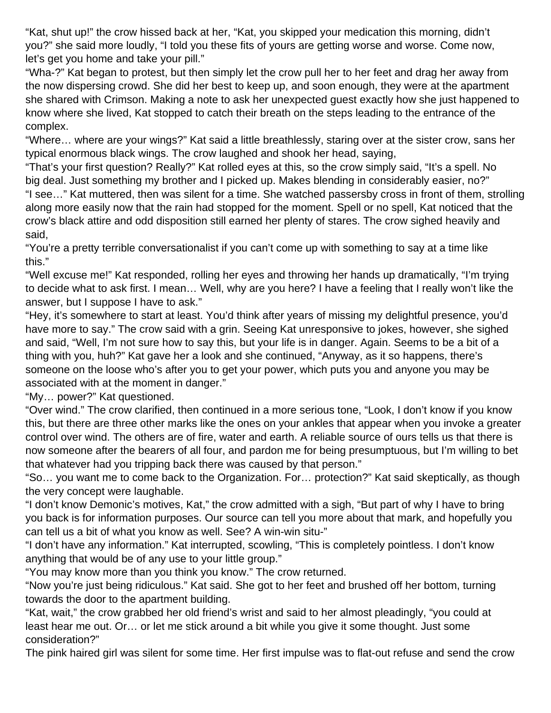"Kat, shut up!" the crow hissed back at her, "Kat, you skipped your medication this morning, didn't you?" she said more loudly, "I told you these fits of yours are getting worse and worse. Come now, let's get you home and take your pill."

"Wha-?" Kat began to protest, but then simply let the crow pull her to her feet and drag her away from the now dispersing crowd. She did her best to keep up, and soon enough, they were at the apartment she shared with Crimson. Making a note to ask her unexpected guest exactly how she just happened to know where she lived, Kat stopped to catch their breath on the steps leading to the entrance of the complex.

"Where… where are your wings?" Kat said a little breathlessly, staring over at the sister crow, sans her typical enormous black wings. The crow laughed and shook her head, saying,

"That's your first question? Really?" Kat rolled eyes at this, so the crow simply said, "It's a spell. No big deal. Just something my brother and I picked up. Makes blending in considerably easier, no?" "I see…" Kat muttered, then was silent for a time. She watched passersby cross in front of them, strolling along more easily now that the rain had stopped for the moment. Spell or no spell, Kat noticed that the crow's black attire and odd disposition still earned her plenty of stares. The crow sighed heavily and said,

"You're a pretty terrible conversationalist if you can't come up with something to say at a time like this."

"Well excuse me!" Kat responded, rolling her eyes and throwing her hands up dramatically, "I'm trying to decide what to ask first. I mean… Well, why are you here? I have a feeling that I really won't like the answer, but I suppose I have to ask."

"Hey, it's somewhere to start at least. You'd think after years of missing my delightful presence, you'd have more to say." The crow said with a grin. Seeing Kat unresponsive to jokes, however, she sighed and said, "Well, I'm not sure how to say this, but your life is in danger. Again. Seems to be a bit of a thing with you, huh?" Kat gave her a look and she continued, "Anyway, as it so happens, there's someone on the loose who's after you to get your power, which puts you and anyone you may be associated with at the moment in danger."

"My… power?" Kat questioned.

"Over wind." The crow clarified, then continued in a more serious tone, "Look, I don't know if you know this, but there are three other marks like the ones on your ankles that appear when you invoke a greater control over wind. The others are of fire, water and earth. A reliable source of ours tells us that there is now someone after the bearers of all four, and pardon me for being presumptuous, but I'm willing to bet that whatever had you tripping back there was caused by that person."

"So… you want me to come back to the Organization. For… protection?" Kat said skeptically, as though the very concept were laughable.

"I don't know Demonic's motives, Kat," the crow admitted with a sigh, "But part of why I have to bring you back is for information purposes. Our source can tell you more about that mark, and hopefully you can tell us a bit of what you know as well. See? A win-win situ-"

"I don't have any information." Kat interrupted, scowling, "This is completely pointless. I don't know anything that would be of any use to your little group."

"You may know more than you think you know." The crow returned.

"Now you're just being ridiculous." Kat said. She got to her feet and brushed off her bottom, turning towards the door to the apartment building.

"Kat, wait," the crow grabbed her old friend's wrist and said to her almost pleadingly, "you could at least hear me out. Or… or let me stick around a bit while you give it some thought. Just some consideration?"

The pink haired girl was silent for some time. Her first impulse was to flat-out refuse and send the crow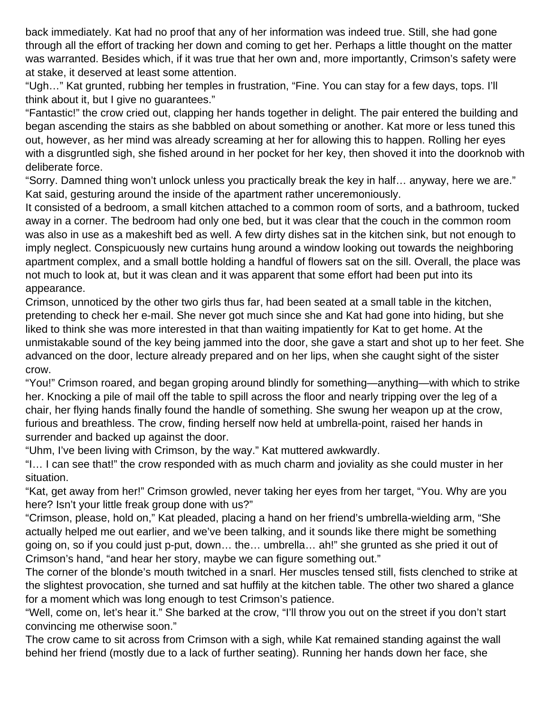back immediately. Kat had no proof that any of her information was indeed true. Still, she had gone through all the effort of tracking her down and coming to get her. Perhaps a little thought on the matter was warranted. Besides which, if it was true that her own and, more importantly, Crimson's safety were at stake, it deserved at least some attention.

"Ugh…" Kat grunted, rubbing her temples in frustration, "Fine. You can stay for a few days, tops. I'll think about it, but I give no guarantees."

"Fantastic!" the crow cried out, clapping her hands together in delight. The pair entered the building and began ascending the stairs as she babbled on about something or another. Kat more or less tuned this out, however, as her mind was already screaming at her for allowing this to happen. Rolling her eyes with a disgruntled sigh, she fished around in her pocket for her key, then shoved it into the doorknob with deliberate force.

"Sorry. Damned thing won't unlock unless you practically break the key in half… anyway, here we are." Kat said, gesturing around the inside of the apartment rather unceremoniously.

It consisted of a bedroom, a small kitchen attached to a common room of sorts, and a bathroom, tucked away in a corner. The bedroom had only one bed, but it was clear that the couch in the common room was also in use as a makeshift bed as well. A few dirty dishes sat in the kitchen sink, but not enough to imply neglect. Conspicuously new curtains hung around a window looking out towards the neighboring apartment complex, and a small bottle holding a handful of flowers sat on the sill. Overall, the place was not much to look at, but it was clean and it was apparent that some effort had been put into its appearance.

Crimson, unnoticed by the other two girls thus far, had been seated at a small table in the kitchen, pretending to check her e-mail. She never got much since she and Kat had gone into hiding, but she liked to think she was more interested in that than waiting impatiently for Kat to get home. At the unmistakable sound of the key being jammed into the door, she gave a start and shot up to her feet. She advanced on the door, lecture already prepared and on her lips, when she caught sight of the sister crow.

"You!" Crimson roared, and began groping around blindly for something—anything—with which to strike her. Knocking a pile of mail off the table to spill across the floor and nearly tripping over the leg of a chair, her flying hands finally found the handle of something. She swung her weapon up at the crow, furious and breathless. The crow, finding herself now held at umbrella-point, raised her hands in surrender and backed up against the door.

"Uhm, I've been living with Crimson, by the way." Kat muttered awkwardly.

"I… I can see that!" the crow responded with as much charm and joviality as she could muster in her situation.

"Kat, get away from her!" Crimson growled, never taking her eyes from her target, "You. Why are you here? Isn't your little freak group done with us?"

"Crimson, please, hold on," Kat pleaded, placing a hand on her friend's umbrella-wielding arm, "She actually helped me out earlier, and we've been talking, and it sounds like there might be something going on, so if you could just p-put, down… the… umbrella… ah!" she grunted as she pried it out of Crimson's hand, "and hear her story, maybe we can figure something out."

The corner of the blonde's mouth twitched in a snarl. Her muscles tensed still, fists clenched to strike at the slightest provocation, she turned and sat huffily at the kitchen table. The other two shared a glance for a moment which was long enough to test Crimson's patience.

"Well, come on, let's hear it." She barked at the crow, "I'll throw you out on the street if you don't start convincing me otherwise soon."

The crow came to sit across from Crimson with a sigh, while Kat remained standing against the wall behind her friend (mostly due to a lack of further seating). Running her hands down her face, she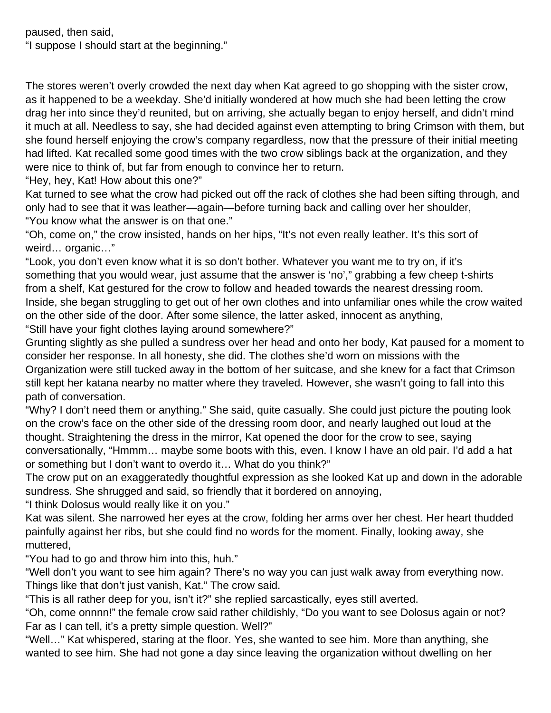paused, then said,

"I suppose I should start at the beginning."

The stores weren't overly crowded the next day when Kat agreed to go shopping with the sister crow, as it happened to be a weekday. She'd initially wondered at how much she had been letting the crow drag her into since they'd reunited, but on arriving, she actually began to enjoy herself, and didn't mind it much at all. Needless to say, she had decided against even attempting to bring Crimson with them, but she found herself enjoying the crow's company regardless, now that the pressure of their initial meeting had lifted. Kat recalled some good times with the two crow siblings back at the organization, and they were nice to think of, but far from enough to convince her to return.

"Hey, hey, Kat! How about this one?"

Kat turned to see what the crow had picked out off the rack of clothes she had been sifting through, and only had to see that it was leather—again—before turning back and calling over her shoulder, "You know what the answer is on that one."

"Oh, come on," the crow insisted, hands on her hips, "It's not even really leather. It's this sort of weird… organic…"

"Look, you don't even know what it is so don't bother. Whatever you want me to try on, if it's something that you would wear, just assume that the answer is 'no'," grabbing a few cheep t-shirts from a shelf, Kat gestured for the crow to follow and headed towards the nearest dressing room. Inside, she began struggling to get out of her own clothes and into unfamiliar ones while the crow waited on the other side of the door. After some silence, the latter asked, innocent as anything, "Still have your fight clothes laying around somewhere?"

Grunting slightly as she pulled a sundress over her head and onto her body, Kat paused for a moment to consider her response. In all honesty, she did. The clothes she'd worn on missions with the Organization were still tucked away in the bottom of her suitcase, and she knew for a fact that Crimson still kept her katana nearby no matter where they traveled. However, she wasn't going to fall into this path of conversation.

"Why? I don't need them or anything." She said, quite casually. She could just picture the pouting look on the crow's face on the other side of the dressing room door, and nearly laughed out loud at the thought. Straightening the dress in the mirror, Kat opened the door for the crow to see, saying conversationally, "Hmmm… maybe some boots with this, even. I know I have an old pair. I'd add a hat or something but I don't want to overdo it… What do you think?"

The crow put on an exaggeratedly thoughtful expression as she looked Kat up and down in the adorable sundress. She shrugged and said, so friendly that it bordered on annoying,

"I think Dolosus would really like it on you."

Kat was silent. She narrowed her eyes at the crow, folding her arms over her chest. Her heart thudded painfully against her ribs, but she could find no words for the moment. Finally, looking away, she muttered,

"You had to go and throw him into this, huh."

"Well don't you want to see him again? There's no way you can just walk away from everything now. Things like that don't just vanish, Kat." The crow said.

"This is all rather deep for you, isn't it?" she replied sarcastically, eyes still averted.

"Oh, come onnnn!" the female crow said rather childishly, "Do you want to see Dolosus again or not? Far as I can tell, it's a pretty simple question. Well?"

"Well…" Kat whispered, staring at the floor. Yes, she wanted to see him. More than anything, she wanted to see him. She had not gone a day since leaving the organization without dwelling on her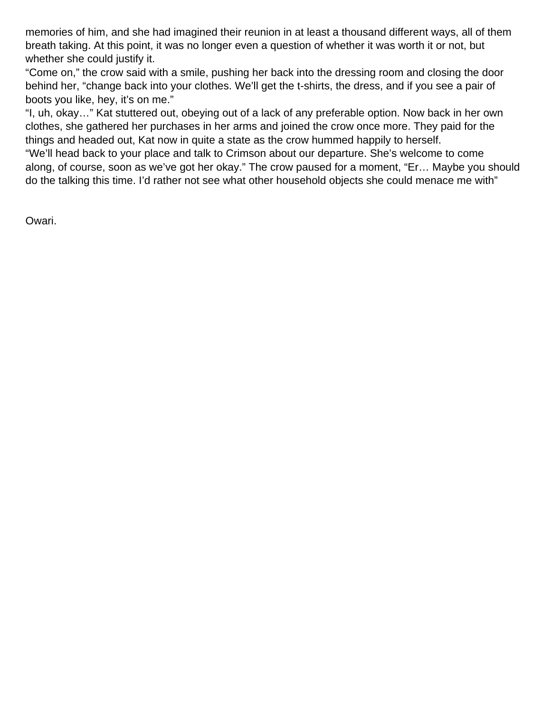memories of him, and she had imagined their reunion in at least a thousand different ways, all of them breath taking. At this point, it was no longer even a question of whether it was worth it or not, but whether she could justify it.

"Come on," the crow said with a smile, pushing her back into the dressing room and closing the door behind her, "change back into your clothes. We'll get the t-shirts, the dress, and if you see a pair of boots you like, hey, it's on me."

"I, uh, okay…" Kat stuttered out, obeying out of a lack of any preferable option. Now back in her own clothes, she gathered her purchases in her arms and joined the crow once more. They paid for the things and headed out, Kat now in quite a state as the crow hummed happily to herself.

"We'll head back to your place and talk to Crimson about our departure. She's welcome to come along, of course, soon as we've got her okay." The crow paused for a moment, "Er… Maybe you should do the talking this time. I'd rather not see what other household objects she could menace me with"

Owari.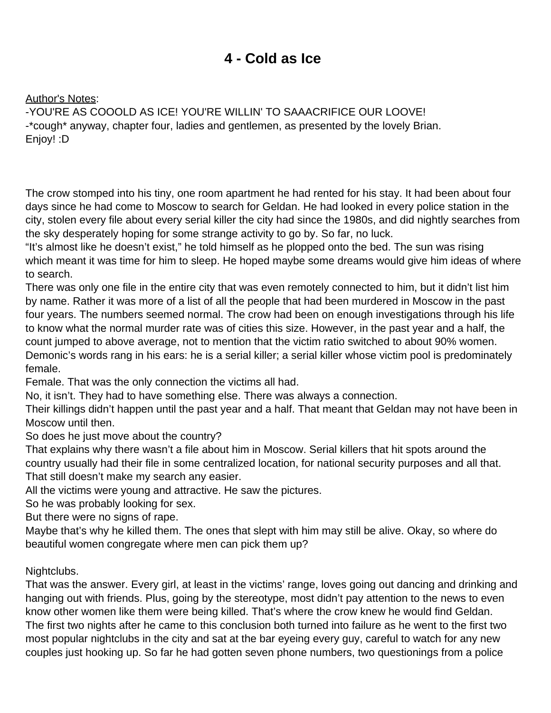# **4 - Cold as Ice**

<span id="page-20-0"></span>Author's Notes:

-YOU'RE AS COOOLD AS ICE! YOU'RE WILLIN' TO SAAACRIFICE OUR LOOVE! -\*cough\* anyway, chapter four, ladies and gentlemen, as presented by the lovely Brian. Enjoy! :D

The crow stomped into his tiny, one room apartment he had rented for his stay. It had been about four days since he had come to Moscow to search for Geldan. He had looked in every police station in the city, stolen every file about every serial killer the city had since the 1980s, and did nightly searches from the sky desperately hoping for some strange activity to go by. So far, no luck.

"It's almost like he doesn't exist," he told himself as he plopped onto the bed. The sun was rising which meant it was time for him to sleep. He hoped maybe some dreams would give him ideas of where to search.

There was only one file in the entire city that was even remotely connected to him, but it didn't list him by name. Rather it was more of a list of all the people that had been murdered in Moscow in the past four years. The numbers seemed normal. The crow had been on enough investigations through his life to know what the normal murder rate was of cities this size. However, in the past year and a half, the count jumped to above average, not to mention that the victim ratio switched to about 90% women. Demonic's words rang in his ears: he is a serial killer; a serial killer whose victim pool is predominately female.

Female. That was the only connection the victims all had.

No, it isn't. They had to have something else. There was always a connection.

Their killings didn't happen until the past year and a half. That meant that Geldan may not have been in Moscow until then.

So does he just move about the country?

That explains why there wasn't a file about him in Moscow. Serial killers that hit spots around the country usually had their file in some centralized location, for national security purposes and all that. That still doesn't make my search any easier.

All the victims were young and attractive. He saw the pictures.

So he was probably looking for sex.

But there were no signs of rape.

Maybe that's why he killed them. The ones that slept with him may still be alive. Okay, so where do beautiful women congregate where men can pick them up?

### Nightclubs.

That was the answer. Every girl, at least in the victims' range, loves going out dancing and drinking and hanging out with friends. Plus, going by the stereotype, most didn't pay attention to the news to even know other women like them were being killed. That's where the crow knew he would find Geldan. The first two nights after he came to this conclusion both turned into failure as he went to the first two most popular nightclubs in the city and sat at the bar eyeing every guy, careful to watch for any new couples just hooking up. So far he had gotten seven phone numbers, two questionings from a police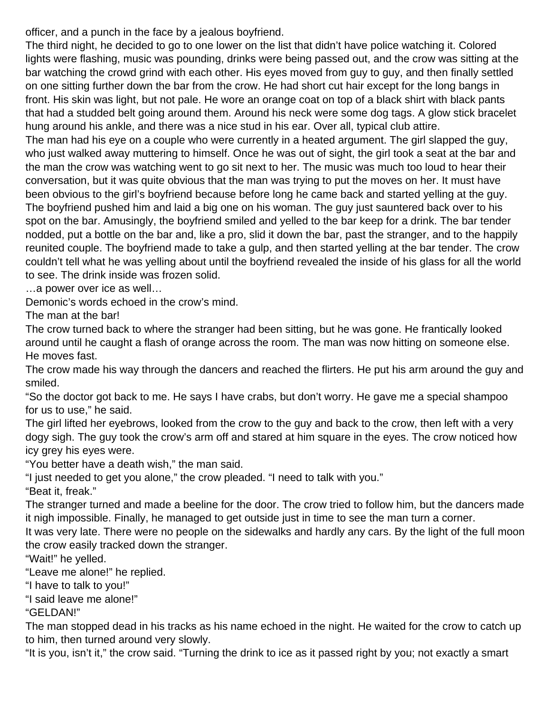officer, and a punch in the face by a jealous boyfriend.

The third night, he decided to go to one lower on the list that didn't have police watching it. Colored lights were flashing, music was pounding, drinks were being passed out, and the crow was sitting at the bar watching the crowd grind with each other. His eyes moved from guy to guy, and then finally settled on one sitting further down the bar from the crow. He had short cut hair except for the long bangs in front. His skin was light, but not pale. He wore an orange coat on top of a black shirt with black pants that had a studded belt going around them. Around his neck were some dog tags. A glow stick bracelet hung around his ankle, and there was a nice stud in his ear. Over all, typical club attire.

The man had his eye on a couple who were currently in a heated argument. The girl slapped the guy, who just walked away muttering to himself. Once he was out of sight, the girl took a seat at the bar and the man the crow was watching went to go sit next to her. The music was much too loud to hear their conversation, but it was quite obvious that the man was trying to put the moves on her. It must have been obvious to the girl's boyfriend because before long he came back and started yelling at the guy. The boyfriend pushed him and laid a big one on his woman. The guy just sauntered back over to his spot on the bar. Amusingly, the boyfriend smiled and yelled to the bar keep for a drink. The bar tender nodded, put a bottle on the bar and, like a pro, slid it down the bar, past the stranger, and to the happily reunited couple. The boyfriend made to take a gulp, and then started yelling at the bar tender. The crow couldn't tell what he was yelling about until the boyfriend revealed the inside of his glass for all the world to see. The drink inside was frozen solid.

…a power over ice as well…

Demonic's words echoed in the crow's mind.

The man at the bar!

The crow turned back to where the stranger had been sitting, but he was gone. He frantically looked around until he caught a flash of orange across the room. The man was now hitting on someone else. He moves fast.

The crow made his way through the dancers and reached the flirters. He put his arm around the guy and smiled.

"So the doctor got back to me. He says I have crabs, but don't worry. He gave me a special shampoo for us to use," he said.

The girl lifted her eyebrows, looked from the crow to the guy and back to the crow, then left with a very dogy sigh. The guy took the crow's arm off and stared at him square in the eyes. The crow noticed how icy grey his eyes were.

"You better have a death wish," the man said.

"I just needed to get you alone," the crow pleaded. "I need to talk with you."

"Beat it, freak."

The stranger turned and made a beeline for the door. The crow tried to follow him, but the dancers made it nigh impossible. Finally, he managed to get outside just in time to see the man turn a corner.

It was very late. There were no people on the sidewalks and hardly any cars. By the light of the full moon the crow easily tracked down the stranger.

"Wait!" he yelled.

"Leave me alone!" he replied.

"I have to talk to you!"

"I said leave me alone!"

"GELDAN!"

The man stopped dead in his tracks as his name echoed in the night. He waited for the crow to catch up to him, then turned around very slowly.

"It is you, isn't it," the crow said. "Turning the drink to ice as it passed right by you; not exactly a smart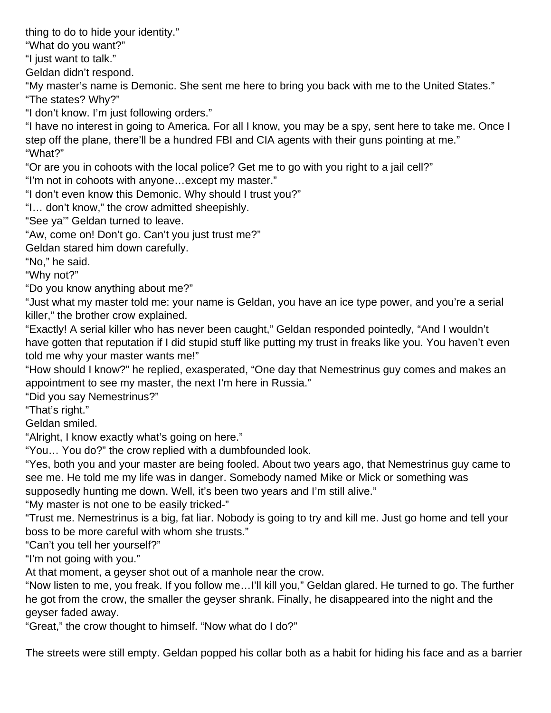thing to do to hide your identity."

"What do you want?"

"I just want to talk."

Geldan didn't respond.

"My master's name is Demonic. She sent me here to bring you back with me to the United States." "The states? Why?"

"I don't know. I'm just following orders."

"I have no interest in going to America. For all I know, you may be a spy, sent here to take me. Once I step off the plane, there'll be a hundred FBI and CIA agents with their guns pointing at me." "What?"

"Or are you in cohoots with the local police? Get me to go with you right to a jail cell?"

"I'm not in cohoots with anyone…except my master."

"I don't even know this Demonic. Why should I trust you?"

"I… don't know," the crow admitted sheepishly.

"See ya'" Geldan turned to leave.

"Aw, come on! Don't go. Can't you just trust me?"

Geldan stared him down carefully.

"No," he said.

"Why not?"

"Do you know anything about me?"

"Just what my master told me: your name is Geldan, you have an ice type power, and you're a serial killer," the brother crow explained.

"Exactly! A serial killer who has never been caught," Geldan responded pointedly, "And I wouldn't have gotten that reputation if I did stupid stuff like putting my trust in freaks like you. You haven't even told me why your master wants me!"

"How should I know?" he replied, exasperated, "One day that Nemestrinus guy comes and makes an appointment to see my master, the next I'm here in Russia."

"Did you say Nemestrinus?"

"That's right."

Geldan smiled.

"Alright, I know exactly what's going on here."

"You… You do?" the crow replied with a dumbfounded look.

"Yes, both you and your master are being fooled. About two years ago, that Nemestrinus guy came to see me. He told me my life was in danger. Somebody named Mike or Mick or something was supposedly hunting me down. Well, it's been two years and I'm still alive."

"My master is not one to be easily tricked-"

"Trust me. Nemestrinus is a big, fat liar. Nobody is going to try and kill me. Just go home and tell your boss to be more careful with whom she trusts."

"Can't you tell her yourself?"

"I'm not going with you."

At that moment, a geyser shot out of a manhole near the crow.

"Now listen to me, you freak. If you follow me…I'll kill you," Geldan glared. He turned to go. The further he got from the crow, the smaller the geyser shrank. Finally, he disappeared into the night and the geyser faded away.

"Great," the crow thought to himself. "Now what do I do?"

The streets were still empty. Geldan popped his collar both as a habit for hiding his face and as a barrier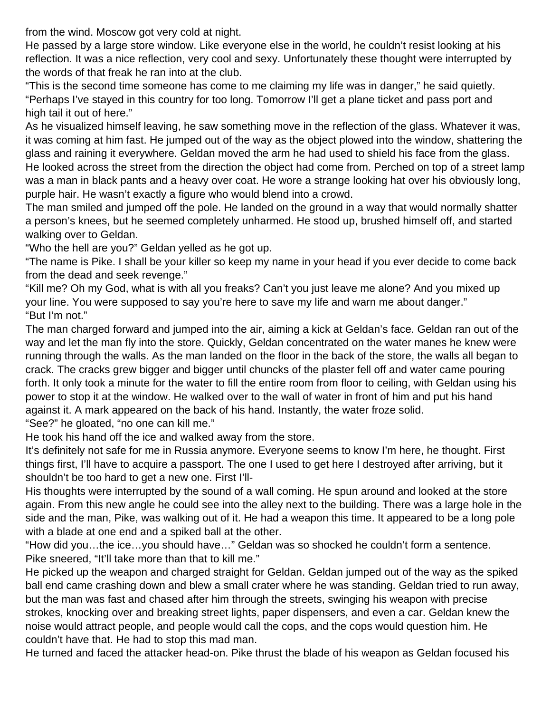from the wind. Moscow got very cold at night.

He passed by a large store window. Like everyone else in the world, he couldn't resist looking at his reflection. It was a nice reflection, very cool and sexy. Unfortunately these thought were interrupted by the words of that freak he ran into at the club.

"This is the second time someone has come to me claiming my life was in danger," he said quietly. "Perhaps I've stayed in this country for too long. Tomorrow I'll get a plane ticket and pass port and high tail it out of here."

As he visualized himself leaving, he saw something move in the reflection of the glass. Whatever it was, it was coming at him fast. He jumped out of the way as the object plowed into the window, shattering the glass and raining it everywhere. Geldan moved the arm he had used to shield his face from the glass. He looked across the street from the direction the object had come from. Perched on top of a street lamp was a man in black pants and a heavy over coat. He wore a strange looking hat over his obviously long, purple hair. He wasn't exactly a figure who would blend into a crowd.

The man smiled and jumped off the pole. He landed on the ground in a way that would normally shatter a person's knees, but he seemed completely unharmed. He stood up, brushed himself off, and started walking over to Geldan.

"Who the hell are you?" Geldan yelled as he got up.

"The name is Pike. I shall be your killer so keep my name in your head if you ever decide to come back from the dead and seek revenge."

"Kill me? Oh my God, what is with all you freaks? Can't you just leave me alone? And you mixed up your line. You were supposed to say you're here to save my life and warn me about danger." "But I'm not."

The man charged forward and jumped into the air, aiming a kick at Geldan's face. Geldan ran out of the way and let the man fly into the store. Quickly, Geldan concentrated on the water manes he knew were running through the walls. As the man landed on the floor in the back of the store, the walls all began to crack. The cracks grew bigger and bigger until chuncks of the plaster fell off and water came pouring forth. It only took a minute for the water to fill the entire room from floor to ceiling, with Geldan using his power to stop it at the window. He walked over to the wall of water in front of him and put his hand against it. A mark appeared on the back of his hand. Instantly, the water froze solid.

"See?" he gloated, "no one can kill me."

He took his hand off the ice and walked away from the store.

It's definitely not safe for me in Russia anymore. Everyone seems to know I'm here, he thought. First things first, I'll have to acquire a passport. The one I used to get here I destroyed after arriving, but it shouldn't be too hard to get a new one. First I'll-

His thoughts were interrupted by the sound of a wall coming. He spun around and looked at the store again. From this new angle he could see into the alley next to the building. There was a large hole in the side and the man, Pike, was walking out of it. He had a weapon this time. It appeared to be a long pole with a blade at one end and a spiked ball at the other.

"How did you…the ice…you should have…" Geldan was so shocked he couldn't form a sentence. Pike sneered, "It'll take more than that to kill me."

He picked up the weapon and charged straight for Geldan. Geldan jumped out of the way as the spiked ball end came crashing down and blew a small crater where he was standing. Geldan tried to run away, but the man was fast and chased after him through the streets, swinging his weapon with precise strokes, knocking over and breaking street lights, paper dispensers, and even a car. Geldan knew the noise would attract people, and people would call the cops, and the cops would question him. He couldn't have that. He had to stop this mad man.

He turned and faced the attacker head-on. Pike thrust the blade of his weapon as Geldan focused his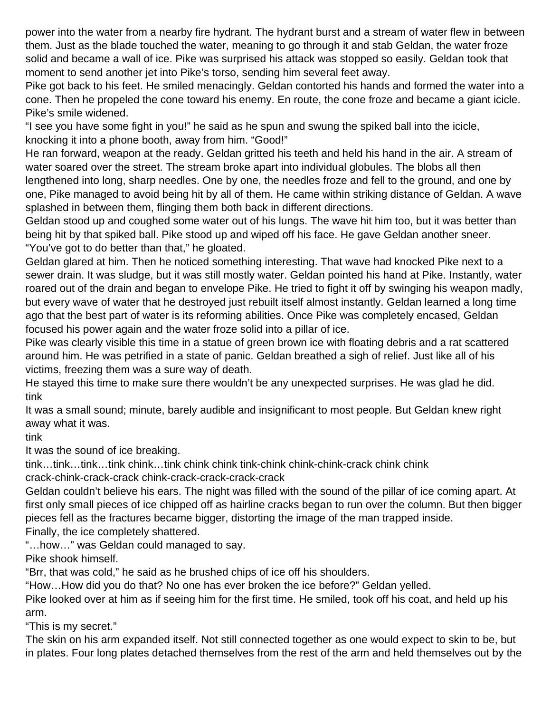power into the water from a nearby fire hydrant. The hydrant burst and a stream of water flew in between them. Just as the blade touched the water, meaning to go through it and stab Geldan, the water froze solid and became a wall of ice. Pike was surprised his attack was stopped so easily. Geldan took that moment to send another jet into Pike's torso, sending him several feet away.

Pike got back to his feet. He smiled menacingly. Geldan contorted his hands and formed the water into a cone. Then he propeled the cone toward his enemy. En route, the cone froze and became a giant icicle. Pike's smile widened.

"I see you have some fight in you!" he said as he spun and swung the spiked ball into the icicle, knocking it into a phone booth, away from him. "Good!"

He ran forward, weapon at the ready. Geldan gritted his teeth and held his hand in the air. A stream of water soared over the street. The stream broke apart into individual globules. The blobs all then lengthened into long, sharp needles. One by one, the needles froze and fell to the ground, and one by one, Pike managed to avoid being hit by all of them. He came within striking distance of Geldan. A wave splashed in between them, flinging them both back in different directions.

Geldan stood up and coughed some water out of his lungs. The wave hit him too, but it was better than being hit by that spiked ball. Pike stood up and wiped off his face. He gave Geldan another sneer. "You've got to do better than that," he gloated.

Geldan glared at him. Then he noticed something interesting. That wave had knocked Pike next to a sewer drain. It was sludge, but it was still mostly water. Geldan pointed his hand at Pike. Instantly, water roared out of the drain and began to envelope Pike. He tried to fight it off by swinging his weapon madly, but every wave of water that he destroyed just rebuilt itself almost instantly. Geldan learned a long time ago that the best part of water is its reforming abilities. Once Pike was completely encased, Geldan focused his power again and the water froze solid into a pillar of ice.

Pike was clearly visible this time in a statue of green brown ice with floating debris and a rat scattered around him. He was petrified in a state of panic. Geldan breathed a sigh of relief. Just like all of his victims, freezing them was a sure way of death.

He stayed this time to make sure there wouldn't be any unexpected surprises. He was glad he did. tink

It was a small sound; minute, barely audible and insignificant to most people. But Geldan knew right away what it was.

tink

It was the sound of ice breaking.

tink…tink…tink…tink chink…tink chink chink tink-chink chink-chink-crack chink chink

crack-chink-crack-crack chink-crack-crack-crack-crack

Geldan couldn't believe his ears. The night was filled with the sound of the pillar of ice coming apart. At first only small pieces of ice chipped off as hairline cracks began to run over the column. But then bigger pieces fell as the fractures became bigger, distorting the image of the man trapped inside.

Finally, the ice completely shattered.

"…how…" was Geldan could managed to say.

Pike shook himself.

"Brr, that was cold," he said as he brushed chips of ice off his shoulders.

"How…How did you do that? No one has ever broken the ice before?" Geldan yelled.

Pike looked over at him as if seeing him for the first time. He smiled, took off his coat, and held up his arm.

"This is my secret."

The skin on his arm expanded itself. Not still connected together as one would expect to skin to be, but in plates. Four long plates detached themselves from the rest of the arm and held themselves out by the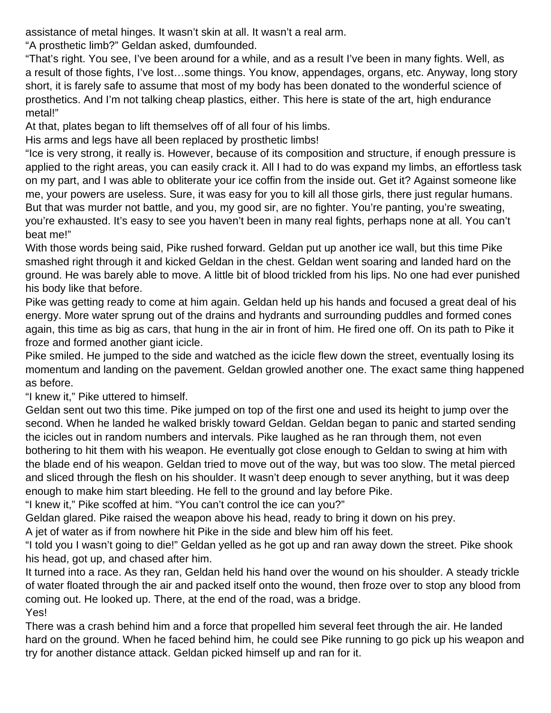assistance of metal hinges. It wasn't skin at all. It wasn't a real arm.

"A prosthetic limb?" Geldan asked, dumfounded.

"That's right. You see, I've been around for a while, and as a result I've been in many fights. Well, as a result of those fights, I've lost…some things. You know, appendages, organs, etc. Anyway, long story short, it is farely safe to assume that most of my body has been donated to the wonderful science of prosthetics. And I'm not talking cheap plastics, either. This here is state of the art, high endurance metal!"

At that, plates began to lift themselves off of all four of his limbs.

His arms and legs have all been replaced by prosthetic limbs!

"Ice is very strong, it really is. However, because of its composition and structure, if enough pressure is applied to the right areas, you can easily crack it. All I had to do was expand my limbs, an effortless task on my part, and I was able to obliterate your ice coffin from the inside out. Get it? Against someone like me, your powers are useless. Sure, it was easy for you to kill all those girls, there just regular humans. But that was murder not battle, and you, my good sir, are no fighter. You're panting, you're sweating, you're exhausted. It's easy to see you haven't been in many real fights, perhaps none at all. You can't beat me!"

With those words being said, Pike rushed forward. Geldan put up another ice wall, but this time Pike smashed right through it and kicked Geldan in the chest. Geldan went soaring and landed hard on the ground. He was barely able to move. A little bit of blood trickled from his lips. No one had ever punished his body like that before.

Pike was getting ready to come at him again. Geldan held up his hands and focused a great deal of his energy. More water sprung out of the drains and hydrants and surrounding puddles and formed cones again, this time as big as cars, that hung in the air in front of him. He fired one off. On its path to Pike it froze and formed another giant icicle.

Pike smiled. He jumped to the side and watched as the icicle flew down the street, eventually losing its momentum and landing on the pavement. Geldan growled another one. The exact same thing happened as before.

"I knew it," Pike uttered to himself.

Geldan sent out two this time. Pike jumped on top of the first one and used its height to jump over the second. When he landed he walked briskly toward Geldan. Geldan began to panic and started sending the icicles out in random numbers and intervals. Pike laughed as he ran through them, not even bothering to hit them with his weapon. He eventually got close enough to Geldan to swing at him with the blade end of his weapon. Geldan tried to move out of the way, but was too slow. The metal pierced and sliced through the flesh on his shoulder. It wasn't deep enough to sever anything, but it was deep enough to make him start bleeding. He fell to the ground and lay before Pike.

"I knew it," Pike scoffed at him. "You can't control the ice can you?"

Geldan glared. Pike raised the weapon above his head, ready to bring it down on his prey.

A jet of water as if from nowhere hit Pike in the side and blew him off his feet.

"I told you I wasn't going to die!" Geldan yelled as he got up and ran away down the street. Pike shook his head, got up, and chased after him.

It turned into a race. As they ran, Geldan held his hand over the wound on his shoulder. A steady trickle of water floated through the air and packed itself onto the wound, then froze over to stop any blood from coming out. He looked up. There, at the end of the road, was a bridge. Yes!

There was a crash behind him and a force that propelled him several feet through the air. He landed hard on the ground. When he faced behind him, he could see Pike running to go pick up his weapon and try for another distance attack. Geldan picked himself up and ran for it.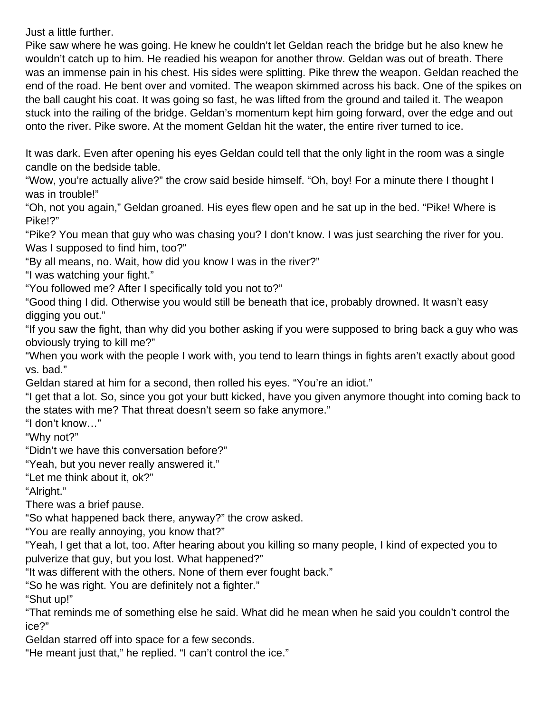Just a little further.

Pike saw where he was going. He knew he couldn't let Geldan reach the bridge but he also knew he wouldn't catch up to him. He readied his weapon for another throw. Geldan was out of breath. There was an immense pain in his chest. His sides were splitting. Pike threw the weapon. Geldan reached the end of the road. He bent over and vomited. The weapon skimmed across his back. One of the spikes on the ball caught his coat. It was going so fast, he was lifted from the ground and tailed it. The weapon stuck into the railing of the bridge. Geldan's momentum kept him going forward, over the edge and out onto the river. Pike swore. At the moment Geldan hit the water, the entire river turned to ice.

It was dark. Even after opening his eyes Geldan could tell that the only light in the room was a single candle on the bedside table.

"Wow, you're actually alive?" the crow said beside himself. "Oh, boy! For a minute there I thought I was in trouble!"

"Oh, not you again," Geldan groaned. His eyes flew open and he sat up in the bed. "Pike! Where is Pike!?"

"Pike? You mean that guy who was chasing you? I don't know. I was just searching the river for you. Was I supposed to find him, too?"

"By all means, no. Wait, how did you know I was in the river?"

"I was watching your fight."

"You followed me? After I specifically told you not to?"

"Good thing I did. Otherwise you would still be beneath that ice, probably drowned. It wasn't easy digging you out."

"If you saw the fight, than why did you bother asking if you were supposed to bring back a guy who was obviously trying to kill me?"

"When you work with the people I work with, you tend to learn things in fights aren't exactly about good vs. bad."

Geldan stared at him for a second, then rolled his eyes. "You're an idiot."

"I get that a lot. So, since you got your butt kicked, have you given anymore thought into coming back to the states with me? That threat doesn't seem so fake anymore."

"I don't know…"

"Why not?"

"Didn't we have this conversation before?"

"Yeah, but you never really answered it."

"Let me think about it, ok?"

"Alright."

There was a brief pause.

"So what happened back there, anyway?" the crow asked.

"You are really annoying, you know that?"

"Yeah, I get that a lot, too. After hearing about you killing so many people, I kind of expected you to pulverize that guy, but you lost. What happened?"

"It was different with the others. None of them ever fought back."

"So he was right. You are definitely not a fighter."

"Shut up!"

"That reminds me of something else he said. What did he mean when he said you couldn't control the ice?"

Geldan starred off into space for a few seconds.

"He meant just that," he replied. "I can't control the ice."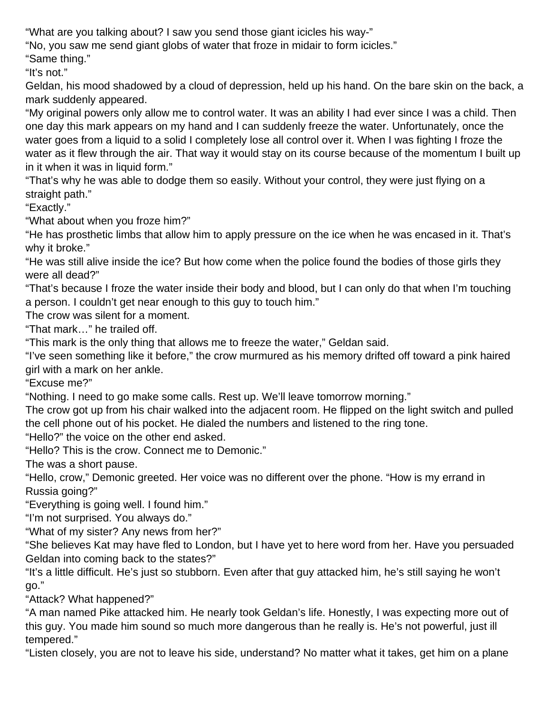"What are you talking about? I saw you send those giant icicles his way-"

"No, you saw me send giant globs of water that froze in midair to form icicles."

"Same thing."

"It's not."

Geldan, his mood shadowed by a cloud of depression, held up his hand. On the bare skin on the back, a mark suddenly appeared.

"My original powers only allow me to control water. It was an ability I had ever since I was a child. Then one day this mark appears on my hand and I can suddenly freeze the water. Unfortunately, once the water goes from a liquid to a solid I completely lose all control over it. When I was fighting I froze the water as it flew through the air. That way it would stay on its course because of the momentum I built up in it when it was in liquid form."

"That's why he was able to dodge them so easily. Without your control, they were just flying on a straight path."

"Exactly."

"What about when you froze him?"

"He has prosthetic limbs that allow him to apply pressure on the ice when he was encased in it. That's why it broke."

"He was still alive inside the ice? But how come when the police found the bodies of those girls they were all dead?"

"That's because I froze the water inside their body and blood, but I can only do that when I'm touching a person. I couldn't get near enough to this guy to touch him."

The crow was silent for a moment.

"That mark…" he trailed off.

"This mark is the only thing that allows me to freeze the water," Geldan said.

"I've seen something like it before," the crow murmured as his memory drifted off toward a pink haired girl with a mark on her ankle.

"Excuse me?"

"Nothing. I need to go make some calls. Rest up. We'll leave tomorrow morning."

The crow got up from his chair walked into the adjacent room. He flipped on the light switch and pulled the cell phone out of his pocket. He dialed the numbers and listened to the ring tone.

"Hello?" the voice on the other end asked.

"Hello? This is the crow. Connect me to Demonic."

The was a short pause.

"Hello, crow," Demonic greeted. Her voice was no different over the phone. "How is my errand in Russia going?"

"Everything is going well. I found him."

"I'm not surprised. You always do."

"What of my sister? Any news from her?"

"She believes Kat may have fled to London, but I have yet to here word from her. Have you persuaded Geldan into coming back to the states?"

"It's a little difficult. He's just so stubborn. Even after that guy attacked him, he's still saying he won't go."

"Attack? What happened?"

"A man named Pike attacked him. He nearly took Geldan's life. Honestly, I was expecting more out of this guy. You made him sound so much more dangerous than he really is. He's not powerful, just ill tempered."

"Listen closely, you are not to leave his side, understand? No matter what it takes, get him on a plane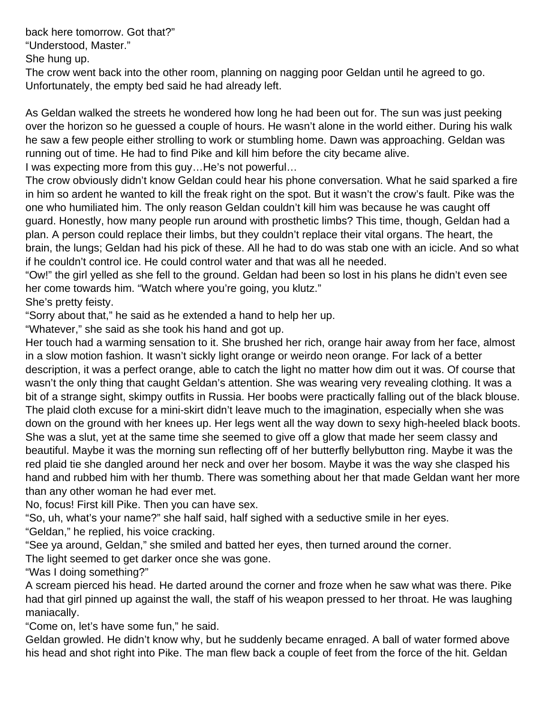back here tomorrow. Got that?"

"Understood, Master."

She hung up.

The crow went back into the other room, planning on nagging poor Geldan until he agreed to go. Unfortunately, the empty bed said he had already left.

As Geldan walked the streets he wondered how long he had been out for. The sun was just peeking over the horizon so he guessed a couple of hours. He wasn't alone in the world either. During his walk he saw a few people either strolling to work or stumbling home. Dawn was approaching. Geldan was running out of time. He had to find Pike and kill him before the city became alive.

I was expecting more from this guy…He's not powerful…

The crow obviously didn't know Geldan could hear his phone conversation. What he said sparked a fire in him so ardent he wanted to kill the freak right on the spot. But it wasn't the crow's fault. Pike was the one who humiliated him. The only reason Geldan couldn't kill him was because he was caught off guard. Honestly, how many people run around with prosthetic limbs? This time, though, Geldan had a plan. A person could replace their limbs, but they couldn't replace their vital organs. The heart, the brain, the lungs; Geldan had his pick of these. All he had to do was stab one with an icicle. And so what if he couldn't control ice. He could control water and that was all he needed.

"Ow!" the girl yelled as she fell to the ground. Geldan had been so lost in his plans he didn't even see her come towards him. "Watch where you're going, you klutz."

She's pretty feisty.

"Sorry about that," he said as he extended a hand to help her up.

"Whatever," she said as she took his hand and got up.

Her touch had a warming sensation to it. She brushed her rich, orange hair away from her face, almost in a slow motion fashion. It wasn't sickly light orange or weirdo neon orange. For lack of a better description, it was a perfect orange, able to catch the light no matter how dim out it was. Of course that wasn't the only thing that caught Geldan's attention. She was wearing very revealing clothing. It was a bit of a strange sight, skimpy outfits in Russia. Her boobs were practically falling out of the black blouse. The plaid cloth excuse for a mini-skirt didn't leave much to the imagination, especially when she was down on the ground with her knees up. Her legs went all the way down to sexy high-heeled black boots. She was a slut, yet at the same time she seemed to give off a glow that made her seem classy and beautiful. Maybe it was the morning sun reflecting off of her butterfly bellybutton ring. Maybe it was the red plaid tie she dangled around her neck and over her bosom. Maybe it was the way she clasped his hand and rubbed him with her thumb. There was something about her that made Geldan want her more than any other woman he had ever met.

No, focus! First kill Pike. Then you can have sex.

"So, uh, what's your name?" she half said, half sighed with a seductive smile in her eyes.

"Geldan," he replied, his voice cracking.

"See ya around, Geldan," she smiled and batted her eyes, then turned around the corner.

The light seemed to get darker once she was gone.

"Was I doing something?"

A scream pierced his head. He darted around the corner and froze when he saw what was there. Pike had that girl pinned up against the wall, the staff of his weapon pressed to her throat. He was laughing maniacally.

"Come on, let's have some fun," he said.

Geldan growled. He didn't know why, but he suddenly became enraged. A ball of water formed above his head and shot right into Pike. The man flew back a couple of feet from the force of the hit. Geldan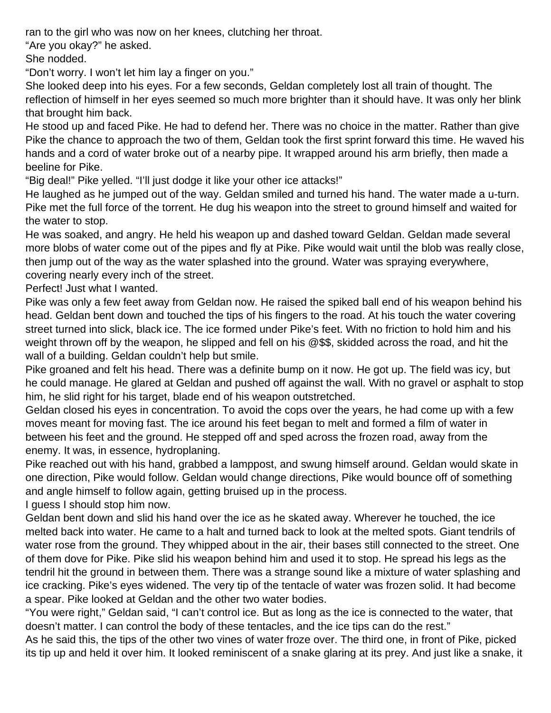ran to the girl who was now on her knees, clutching her throat.

"Are you okay?" he asked.

She nodded.

"Don't worry. I won't let him lay a finger on you."

She looked deep into his eyes. For a few seconds, Geldan completely lost all train of thought. The reflection of himself in her eyes seemed so much more brighter than it should have. It was only her blink that brought him back.

He stood up and faced Pike. He had to defend her. There was no choice in the matter. Rather than give Pike the chance to approach the two of them, Geldan took the first sprint forward this time. He waved his hands and a cord of water broke out of a nearby pipe. It wrapped around his arm briefly, then made a beeline for Pike.

"Big deal!" Pike yelled. "I'll just dodge it like your other ice attacks!"

He laughed as he jumped out of the way. Geldan smiled and turned his hand. The water made a u-turn. Pike met the full force of the torrent. He dug his weapon into the street to ground himself and waited for the water to stop.

He was soaked, and angry. He held his weapon up and dashed toward Geldan. Geldan made several more blobs of water come out of the pipes and fly at Pike. Pike would wait until the blob was really close, then jump out of the way as the water splashed into the ground. Water was spraying everywhere, covering nearly every inch of the street.

Perfect! Just what I wanted.

Pike was only a few feet away from Geldan now. He raised the spiked ball end of his weapon behind his head. Geldan bent down and touched the tips of his fingers to the road. At his touch the water covering street turned into slick, black ice. The ice formed under Pike's feet. With no friction to hold him and his weight thrown off by the weapon, he slipped and fell on his @\$\$, skidded across the road, and hit the wall of a building. Geldan couldn't help but smile.

Pike groaned and felt his head. There was a definite bump on it now. He got up. The field was icy, but he could manage. He glared at Geldan and pushed off against the wall. With no gravel or asphalt to stop him, he slid right for his target, blade end of his weapon outstretched.

Geldan closed his eyes in concentration. To avoid the cops over the years, he had come up with a few moves meant for moving fast. The ice around his feet began to melt and formed a film of water in between his feet and the ground. He stepped off and sped across the frozen road, away from the enemy. It was, in essence, hydroplaning.

Pike reached out with his hand, grabbed a lamppost, and swung himself around. Geldan would skate in one direction, Pike would follow. Geldan would change directions, Pike would bounce off of something and angle himself to follow again, getting bruised up in the process.

I guess I should stop him now.

Geldan bent down and slid his hand over the ice as he skated away. Wherever he touched, the ice melted back into water. He came to a halt and turned back to look at the melted spots. Giant tendrils of water rose from the ground. They whipped about in the air, their bases still connected to the street. One of them dove for Pike. Pike slid his weapon behind him and used it to stop. He spread his legs as the tendril hit the ground in between them. There was a strange sound like a mixture of water splashing and ice cracking. Pike's eyes widened. The very tip of the tentacle of water was frozen solid. It had become a spear. Pike looked at Geldan and the other two water bodies.

"You were right," Geldan said, "I can't control ice. But as long as the ice is connected to the water, that doesn't matter. I can control the body of these tentacles, and the ice tips can do the rest."

As he said this, the tips of the other two vines of water froze over. The third one, in front of Pike, picked its tip up and held it over him. It looked reminiscent of a snake glaring at its prey. And just like a snake, it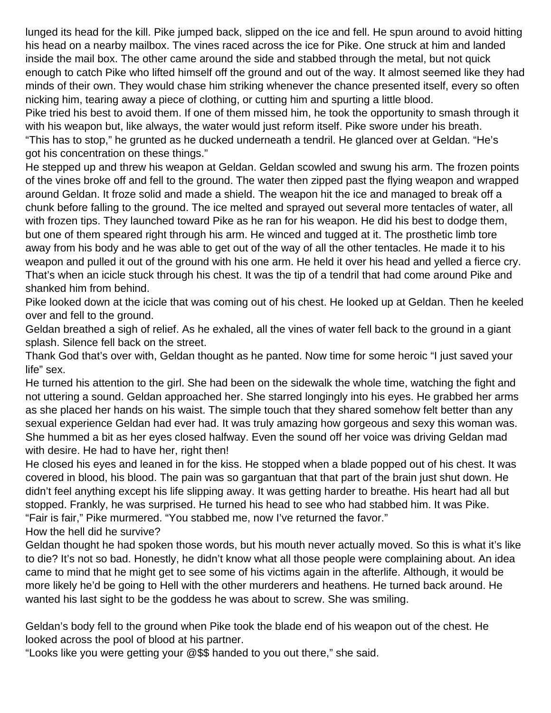lunged its head for the kill. Pike jumped back, slipped on the ice and fell. He spun around to avoid hitting his head on a nearby mailbox. The vines raced across the ice for Pike. One struck at him and landed inside the mail box. The other came around the side and stabbed through the metal, but not quick enough to catch Pike who lifted himself off the ground and out of the way. It almost seemed like they had minds of their own. They would chase him striking whenever the chance presented itself, every so often nicking him, tearing away a piece of clothing, or cutting him and spurting a little blood.

Pike tried his best to avoid them. If one of them missed him, he took the opportunity to smash through it with his weapon but, like always, the water would just reform itself. Pike swore under his breath. "This has to stop," he grunted as he ducked underneath a tendril. He glanced over at Geldan. "He's got his concentration on these things."

He stepped up and threw his weapon at Geldan. Geldan scowled and swung his arm. The frozen points of the vines broke off and fell to the ground. The water then zipped past the flying weapon and wrapped around Geldan. It froze solid and made a shield. The weapon hit the ice and managed to break off a chunk before falling to the ground. The ice melted and sprayed out several more tentacles of water, all with frozen tips. They launched toward Pike as he ran for his weapon. He did his best to dodge them, but one of them speared right through his arm. He winced and tugged at it. The prosthetic limb tore away from his body and he was able to get out of the way of all the other tentacles. He made it to his weapon and pulled it out of the ground with his one arm. He held it over his head and yelled a fierce cry. That's when an icicle stuck through his chest. It was the tip of a tendril that had come around Pike and shanked him from behind.

Pike looked down at the icicle that was coming out of his chest. He looked up at Geldan. Then he keeled over and fell to the ground.

Geldan breathed a sigh of relief. As he exhaled, all the vines of water fell back to the ground in a giant splash. Silence fell back on the street.

Thank God that's over with, Geldan thought as he panted. Now time for some heroic "I just saved your life" sex.

He turned his attention to the girl. She had been on the sidewalk the whole time, watching the fight and not uttering a sound. Geldan approached her. She starred longingly into his eyes. He grabbed her arms as she placed her hands on his waist. The simple touch that they shared somehow felt better than any sexual experience Geldan had ever had. It was truly amazing how gorgeous and sexy this woman was. She hummed a bit as her eyes closed halfway. Even the sound off her voice was driving Geldan mad with desire. He had to have her, right then!

He closed his eyes and leaned in for the kiss. He stopped when a blade popped out of his chest. It was covered in blood, his blood. The pain was so gargantuan that that part of the brain just shut down. He didn't feel anything except his life slipping away. It was getting harder to breathe. His heart had all but stopped. Frankly, he was surprised. He turned his head to see who had stabbed him. It was Pike. "Fair is fair," Pike murmered. "You stabbed me, now I've returned the favor."

How the hell did he survive?

Geldan thought he had spoken those words, but his mouth never actually moved. So this is what it's like to die? It's not so bad. Honestly, he didn't know what all those people were complaining about. An idea came to mind that he might get to see some of his victims again in the afterlife. Although, it would be more likely he'd be going to Hell with the other murderers and heathens. He turned back around. He wanted his last sight to be the goddess he was about to screw. She was smiling.

Geldan's body fell to the ground when Pike took the blade end of his weapon out of the chest. He looked across the pool of blood at his partner.

"Looks like you were getting your @\$\$ handed to you out there," she said.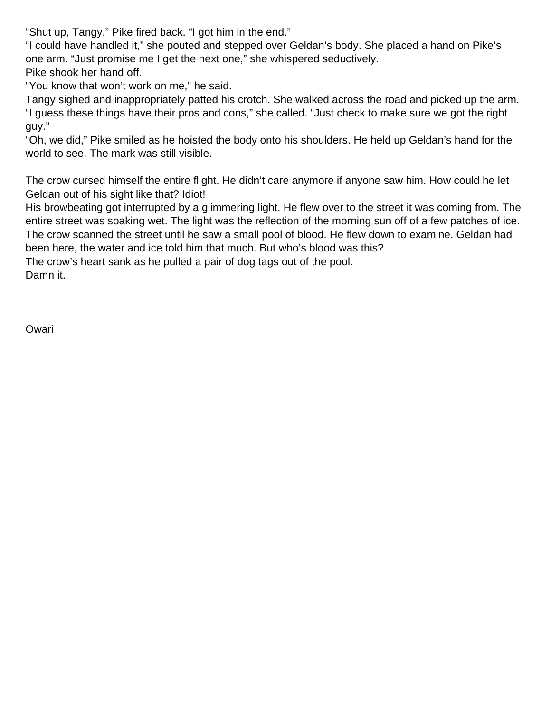"Shut up, Tangy," Pike fired back. "I got him in the end."

"I could have handled it," she pouted and stepped over Geldan's body. She placed a hand on Pike's one arm. "Just promise me I get the next one," she whispered seductively.

Pike shook her hand off.

"You know that won't work on me," he said.

Tangy sighed and inappropriately patted his crotch. She walked across the road and picked up the arm. "I guess these things have their pros and cons," she called. "Just check to make sure we got the right guy."

"Oh, we did," Pike smiled as he hoisted the body onto his shoulders. He held up Geldan's hand for the world to see. The mark was still visible.

The crow cursed himself the entire flight. He didn't care anymore if anyone saw him. How could he let Geldan out of his sight like that? Idiot!

His browbeating got interrupted by a glimmering light. He flew over to the street it was coming from. The entire street was soaking wet. The light was the reflection of the morning sun off of a few patches of ice. The crow scanned the street until he saw a small pool of blood. He flew down to examine. Geldan had been here, the water and ice told him that much. But who's blood was this?

The crow's heart sank as he pulled a pair of dog tags out of the pool. Damn it.

**Owari**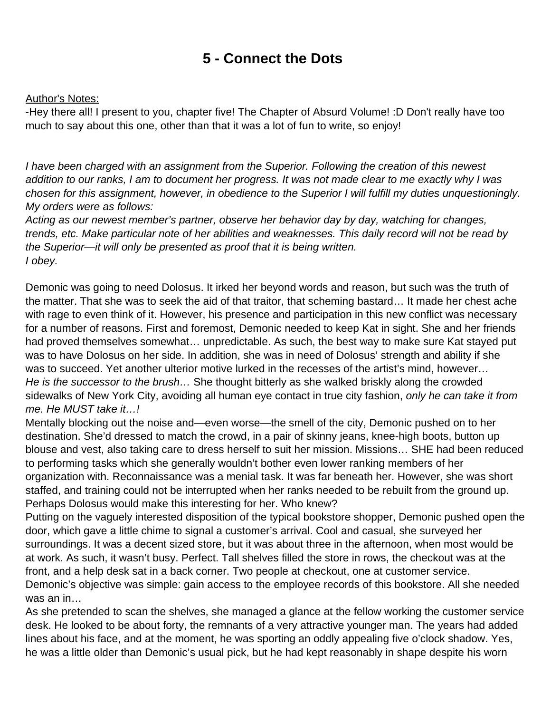## **5 - Connect the Dots**

#### <span id="page-32-0"></span>Author's Notes:

-Hey there all! I present to you, chapter five! The Chapter of Absurd Volume! :D Don't really have too much to say about this one, other than that it was a lot of fun to write, so enjoy!

I have been charged with an assignment from the Superior. Following the creation of this newest addition to our ranks, I am to document her progress. It was not made clear to me exactly why I was chosen for this assignment, however, in obedience to the Superior I will fulfill my duties unquestioningly. My orders were as follows:

Acting as our newest member's partner, observe her behavior day by day, watching for changes, trends, etc. Make particular note of her abilities and weaknesses. This daily record will not be read by the Superior—it will only be presented as proof that it is being written. I obey.

Demonic was going to need Dolosus. It irked her beyond words and reason, but such was the truth of the matter. That she was to seek the aid of that traitor, that scheming bastard… It made her chest ache with rage to even think of it. However, his presence and participation in this new conflict was necessary for a number of reasons. First and foremost, Demonic needed to keep Kat in sight. She and her friends had proved themselves somewhat… unpredictable. As such, the best way to make sure Kat stayed put was to have Dolosus on her side. In addition, she was in need of Dolosus' strength and ability if she was to succeed. Yet another ulterior motive lurked in the recesses of the artist's mind, however… He is the successor to the brush... She thought bitterly as she walked briskly along the crowded sidewalks of New York City, avoiding all human eye contact in true city fashion, only he can take it from me. He MUST take it...!

Mentally blocking out the noise and—even worse—the smell of the city, Demonic pushed on to her destination. She'd dressed to match the crowd, in a pair of skinny jeans, knee-high boots, button up blouse and vest, also taking care to dress herself to suit her mission. Missions… SHE had been reduced to performing tasks which she generally wouldn't bother even lower ranking members of her organization with. Reconnaissance was a menial task. It was far beneath her. However, she was short staffed, and training could not be interrupted when her ranks needed to be rebuilt from the ground up. Perhaps Dolosus would make this interesting for her. Who knew?

Putting on the vaguely interested disposition of the typical bookstore shopper, Demonic pushed open the door, which gave a little chime to signal a customer's arrival. Cool and casual, she surveyed her surroundings. It was a decent sized store, but it was about three in the afternoon, when most would be at work. As such, it wasn't busy. Perfect. Tall shelves filled the store in rows, the checkout was at the front, and a help desk sat in a back corner. Two people at checkout, one at customer service. Demonic's objective was simple: gain access to the employee records of this bookstore. All she needed was an in…

As she pretended to scan the shelves, she managed a glance at the fellow working the customer service desk. He looked to be about forty, the remnants of a very attractive younger man. The years had added lines about his face, and at the moment, he was sporting an oddly appealing five o'clock shadow. Yes, he was a little older than Demonic's usual pick, but he had kept reasonably in shape despite his worn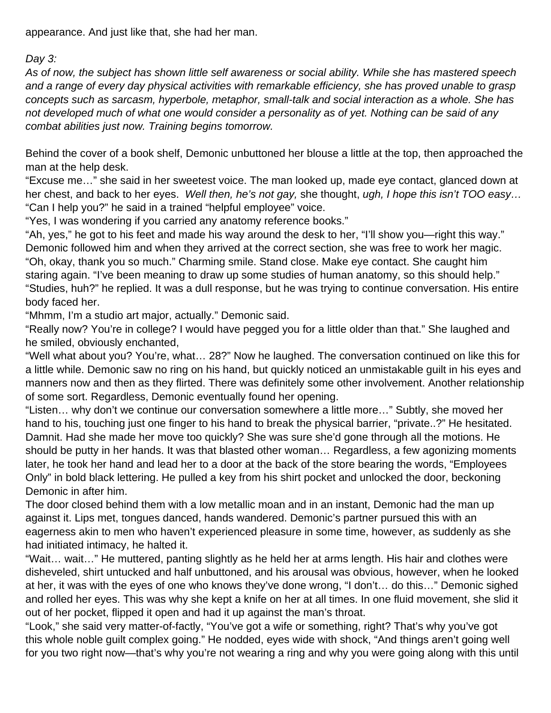appearance. And just like that, she had her man.

Day 3:

As of now, the subject has shown little self awareness or social ability. While she has mastered speech and a range of every day physical activities with remarkable efficiency, she has proved unable to grasp concepts such as sarcasm, hyperbole, metaphor, small-talk and social interaction as a whole. She has not developed much of what one would consider a personality as of yet. Nothing can be said of any combat abilities just now. Training begins tomorrow.

Behind the cover of a book shelf, Demonic unbuttoned her blouse a little at the top, then approached the man at the help desk.

"Excuse me…" she said in her sweetest voice. The man looked up, made eye contact, glanced down at her chest, and back to her eyes. Well then, he's not gay, she thought, ugh, I hope this isn't TOO easy... "Can I help you?" he said in a trained "helpful employee" voice.

"Yes, I was wondering if you carried any anatomy reference books."

"Ah, yes," he got to his feet and made his way around the desk to her, "I'll show you—right this way." Demonic followed him and when they arrived at the correct section, she was free to work her magic. "Oh, okay, thank you so much." Charming smile. Stand close. Make eye contact. She caught him staring again. "I've been meaning to draw up some studies of human anatomy, so this should help." "Studies, huh?" he replied. It was a dull response, but he was trying to continue conversation. His entire body faced her.

"Mhmm, I'm a studio art major, actually." Demonic said.

"Really now? You're in college? I would have pegged you for a little older than that." She laughed and he smiled, obviously enchanted,

"Well what about you? You're, what… 28?" Now he laughed. The conversation continued on like this for a little while. Demonic saw no ring on his hand, but quickly noticed an unmistakable guilt in his eyes and manners now and then as they flirted. There was definitely some other involvement. Another relationship of some sort. Regardless, Demonic eventually found her opening.

"Listen… why don't we continue our conversation somewhere a little more…" Subtly, she moved her hand to his, touching just one finger to his hand to break the physical barrier, "private..?" He hesitated. Damnit. Had she made her move too quickly? She was sure she'd gone through all the motions. He should be putty in her hands. It was that blasted other woman… Regardless, a few agonizing moments later, he took her hand and lead her to a door at the back of the store bearing the words, "Employees Only" in bold black lettering. He pulled a key from his shirt pocket and unlocked the door, beckoning Demonic in after him.

The door closed behind them with a low metallic moan and in an instant, Demonic had the man up against it. Lips met, tongues danced, hands wandered. Demonic's partner pursued this with an eagerness akin to men who haven't experienced pleasure in some time, however, as suddenly as she had initiated intimacy, he halted it.

"Wait… wait…" He muttered, panting slightly as he held her at arms length. His hair and clothes were disheveled, shirt untucked and half unbuttoned, and his arousal was obvious, however, when he looked at her, it was with the eyes of one who knows they've done wrong, "I don't… do this…" Demonic sighed and rolled her eyes. This was why she kept a knife on her at all times. In one fluid movement, she slid it out of her pocket, flipped it open and had it up against the man's throat.

"Look," she said very matter-of-factly, "You've got a wife or something, right? That's why you've got this whole noble guilt complex going." He nodded, eyes wide with shock, "And things aren't going well for you two right now—that's why you're not wearing a ring and why you were going along with this until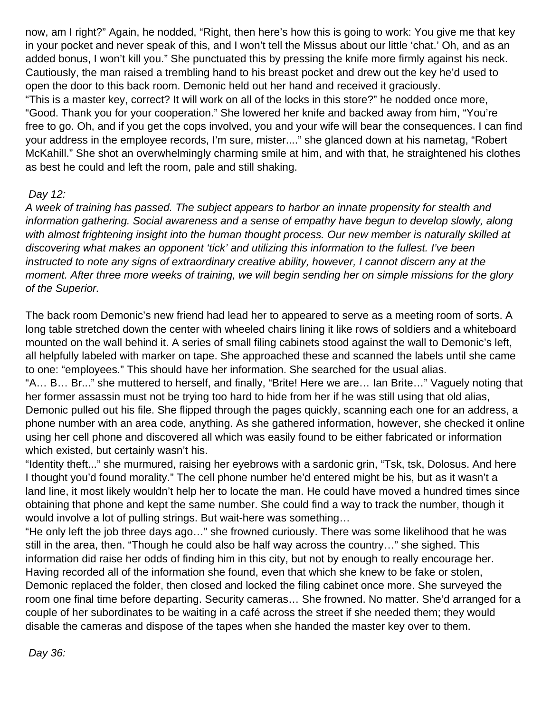now, am I right?" Again, he nodded, "Right, then here's how this is going to work: You give me that key in your pocket and never speak of this, and I won't tell the Missus about our little 'chat.' Oh, and as an added bonus, I won't kill you." She punctuated this by pressing the knife more firmly against his neck. Cautiously, the man raised a trembling hand to his breast pocket and drew out the key he'd used to open the door to this back room. Demonic held out her hand and received it graciously. "This is a master key, correct? It will work on all of the locks in this store?" he nodded once more, "Good. Thank you for your cooperation." She lowered her knife and backed away from him, "You're free to go. Oh, and if you get the cops involved, you and your wife will bear the consequences. I can find your address in the employee records, I'm sure, mister...." she glanced down at his nametag, "Robert McKahill." She shot an overwhelmingly charming smile at him, and with that, he straightened his clothes as best he could and left the room, pale and still shaking.

#### Day 12:

A week of training has passed. The subject appears to harbor an innate propensity for stealth and information gathering. Social awareness and a sense of empathy have begun to develop slowly, along with almost frightening insight into the human thought process. Our new member is naturally skilled at discovering what makes an opponent 'tick' and utilizing this information to the fullest. I've been instructed to note any signs of extraordinary creative ability, however, I cannot discern any at the moment. After three more weeks of training, we will begin sending her on simple missions for the glory of the Superior.

The back room Demonic's new friend had lead her to appeared to serve as a meeting room of sorts. A long table stretched down the center with wheeled chairs lining it like rows of soldiers and a whiteboard mounted on the wall behind it. A series of small filing cabinets stood against the wall to Demonic's left, all helpfully labeled with marker on tape. She approached these and scanned the labels until she came to one: "employees." This should have her information. She searched for the usual alias. "A… B… Br..." she muttered to herself, and finally, "Brite! Here we are… Ian Brite…" Vaguely noting that her former assassin must not be trying too hard to hide from her if he was still using that old alias,

Demonic pulled out his file. She flipped through the pages quickly, scanning each one for an address, a phone number with an area code, anything. As she gathered information, however, she checked it online using her cell phone and discovered all which was easily found to be either fabricated or information which existed, but certainly wasn't his.

"Identity theft..." she murmured, raising her eyebrows with a sardonic grin, "Tsk, tsk, Dolosus. And here I thought you'd found morality." The cell phone number he'd entered might be his, but as it wasn't a land line, it most likely wouldn't help her to locate the man. He could have moved a hundred times since obtaining that phone and kept the same number. She could find a way to track the number, though it would involve a lot of pulling strings. But wait-here was something…

"He only left the job three days ago…" she frowned curiously. There was some likelihood that he was still in the area, then. "Though he could also be half way across the country…" she sighed. This information did raise her odds of finding him in this city, but not by enough to really encourage her. Having recorded all of the information she found, even that which she knew to be fake or stolen, Demonic replaced the folder, then closed and locked the filing cabinet once more. She surveyed the room one final time before departing. Security cameras… She frowned. No matter. She'd arranged for a couple of her subordinates to be waiting in a café across the street if she needed them; they would disable the cameras and dispose of the tapes when she handed the master key over to them.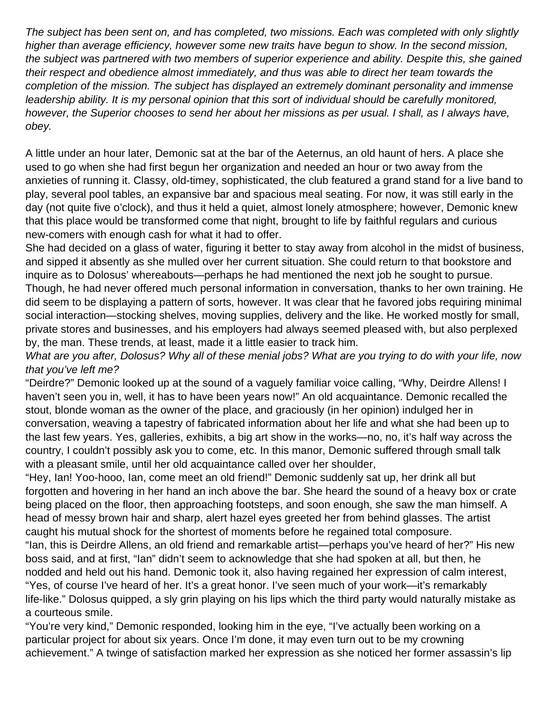The subject has been sent on, and has completed, two missions. Each was completed with only slightly higher than average efficiency, however some new traits have begun to show. In the second mission, the subject was partnered with two members of superior experience and ability. Despite this, she gained their respect and obedience almost immediately, and thus was able to direct her team towards the completion of the mission. The subject has displayed an extremely dominant personality and immense leadership ability. It is my personal opinion that this sort of individual should be carefully monitored, however, the Superior chooses to send her about her missions as per usual. I shall, as I always have, obey.

A little under an hour later, Demonic sat at the bar of the Aeternus, an old haunt of hers. A place she used to go when she had first begun her organization and needed an hour or two away from the anxieties of running it. Classy, old-timey, sophisticated, the club featured a grand stand for a live band to play, several pool tables, an expansive bar and spacious meal seating. For now, it was still early in the day (not quite five o'clock), and thus it held a quiet, almost lonely atmosphere; however, Demonic knew that this place would be transformed come that night, brought to life by faithful regulars and curious new-comers with enough cash for what it had to offer.

She had decided on a glass of water, figuring it better to stay away from alcohol in the midst of business, and sipped it absently as she mulled over her current situation. She could return to that bookstore and inquire as to Dolosus' whereabouts—perhaps he had mentioned the next job he sought to pursue.

Though, he had never offered much personal information in conversation, thanks to her own training. He did seem to be displaying a pattern of sorts, however. It was clear that he favored jobs requiring minimal social interaction—stocking shelves, moving supplies, delivery and the like. He worked mostly for small, private stores and businesses, and his employers had always seemed pleased with, but also perplexed by, the man. These trends, at least, made it a little easier to track him.

What are you after, Dolosus? Why all of these menial jobs? What are you trying to do with your life, now that you've left me?

"Deirdre?" Demonic looked up at the sound of a vaguely familiar voice calling, "Why, Deirdre Allens! I haven't seen you in, well, it has to have been years now!" An old acquaintance. Demonic recalled the stout, blonde woman as the owner of the place, and graciously (in her opinion) indulged her in conversation, weaving a tapestry of fabricated information about her life and what she had been up to the last few years. Yes, galleries, exhibits, a big art show in the works—no, no, it's half way across the country, I couldn't possibly ask you to come, etc. In this manor, Demonic suffered through small talk with a pleasant smile, until her old acquaintance called over her shoulder,

"Hey, Ian! Yoo-hooo, Ian, come meet an old friend!" Demonic suddenly sat up, her drink all but forgotten and hovering in her hand an inch above the bar. She heard the sound of a heavy box or crate being placed on the floor, then approaching footsteps, and soon enough, she saw the man himself. A head of messy brown hair and sharp, alert hazel eyes greeted her from behind glasses. The artist caught his mutual shock for the shortest of moments before he regained total composure.

"Ian, this is Deirdre Allens, an old friend and remarkable artist—perhaps you've heard of her?" His new boss said, and at first, "Ian" didn't seem to acknowledge that she had spoken at all, but then, he nodded and held out his hand. Demonic took it, also having regained her expression of calm interest, "Yes, of course I've heard of her. It's a great honor. I've seen much of your work—it's remarkably life-like." Dolosus quipped, a sly grin playing on his lips which the third party would naturally mistake as a courteous smile.

"You're very kind," Demonic responded, looking him in the eye, "I've actually been working on a particular project for about six years. Once I'm done, it may even turn out to be my crowning achievement." A twinge of satisfaction marked her expression as she noticed her former assassin's lip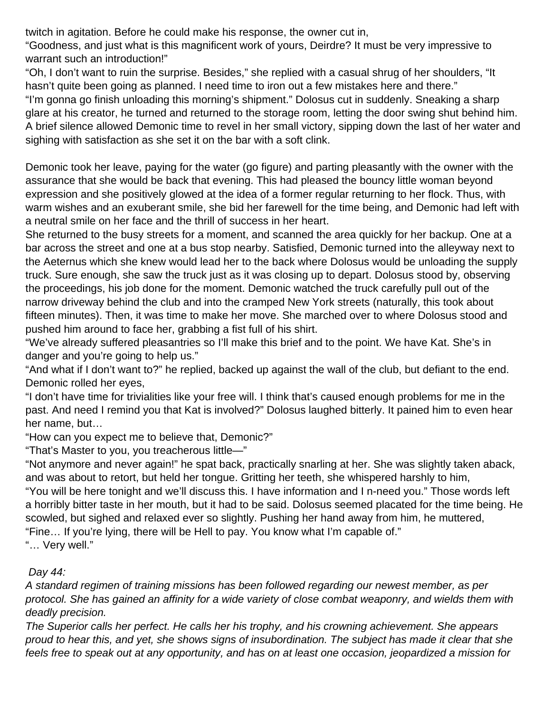twitch in agitation. Before he could make his response, the owner cut in,

"Goodness, and just what is this magnificent work of yours, Deirdre? It must be very impressive to warrant such an introduction!"

"Oh, I don't want to ruin the surprise. Besides," she replied with a casual shrug of her shoulders, "It hasn't quite been going as planned. I need time to iron out a few mistakes here and there."

"I'm gonna go finish unloading this morning's shipment." Dolosus cut in suddenly. Sneaking a sharp glare at his creator, he turned and returned to the storage room, letting the door swing shut behind him. A brief silence allowed Demonic time to revel in her small victory, sipping down the last of her water and sighing with satisfaction as she set it on the bar with a soft clink.

Demonic took her leave, paying for the water (go figure) and parting pleasantly with the owner with the assurance that she would be back that evening. This had pleased the bouncy little woman beyond expression and she positively glowed at the idea of a former regular returning to her flock. Thus, with warm wishes and an exuberant smile, she bid her farewell for the time being, and Demonic had left with a neutral smile on her face and the thrill of success in her heart.

She returned to the busy streets for a moment, and scanned the area quickly for her backup. One at a bar across the street and one at a bus stop nearby. Satisfied, Demonic turned into the alleyway next to the Aeternus which she knew would lead her to the back where Dolosus would be unloading the supply truck. Sure enough, she saw the truck just as it was closing up to depart. Dolosus stood by, observing the proceedings, his job done for the moment. Demonic watched the truck carefully pull out of the narrow driveway behind the club and into the cramped New York streets (naturally, this took about fifteen minutes). Then, it was time to make her move. She marched over to where Dolosus stood and pushed him around to face her, grabbing a fist full of his shirt.

"We've already suffered pleasantries so I'll make this brief and to the point. We have Kat. She's in danger and you're going to help us."

"And what if I don't want to?" he replied, backed up against the wall of the club, but defiant to the end. Demonic rolled her eyes,

"I don't have time for trivialities like your free will. I think that's caused enough problems for me in the past. And need I remind you that Kat is involved?" Dolosus laughed bitterly. It pained him to even hear her name, but…

"How can you expect me to believe that, Demonic?"

"That's Master to you, you treacherous little—"

"Not anymore and never again!" he spat back, practically snarling at her. She was slightly taken aback, and was about to retort, but held her tongue. Gritting her teeth, she whispered harshly to him,

"You will be here tonight and we'll discuss this. I have information and I n-need you." Those words left a horribly bitter taste in her mouth, but it had to be said. Dolosus seemed placated for the time being. He scowled, but sighed and relaxed ever so slightly. Pushing her hand away from him, he muttered, "Fine… If you're lying, there will be Hell to pay. You know what I'm capable of."

"… Very well."

### Day 44:

A standard regimen of training missions has been followed regarding our newest member, as per protocol. She has gained an affinity for a wide variety of close combat weaponry, and wields them with deadly precision.

The Superior calls her perfect. He calls her his trophy, and his crowning achievement. She appears proud to hear this, and yet, she shows signs of insubordination. The subject has made it clear that she feels free to speak out at any opportunity, and has on at least one occasion, jeopardized a mission for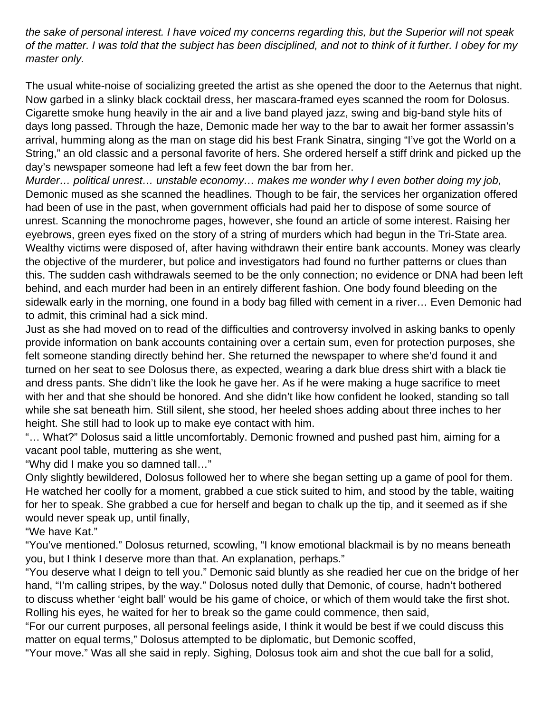the sake of personal interest. I have voiced my concerns regarding this, but the Superior will not speak of the matter. I was told that the subject has been disciplined, and not to think of it further. I obey for my master only.

The usual white-noise of socializing greeted the artist as she opened the door to the Aeternus that night. Now garbed in a slinky black cocktail dress, her mascara-framed eyes scanned the room for Dolosus. Cigarette smoke hung heavily in the air and a live band played jazz, swing and big-band style hits of days long passed. Through the haze, Demonic made her way to the bar to await her former assassin's arrival, humming along as the man on stage did his best Frank Sinatra, singing "I've got the World on a String," an old classic and a personal favorite of hers. She ordered herself a stiff drink and picked up the day's newspaper someone had left a few feet down the bar from her.

Murder… political unrest… unstable economy… makes me wonder why I even bother doing my job, Demonic mused as she scanned the headlines. Though to be fair, the services her organization offered had been of use in the past, when government officials had paid her to dispose of some source of unrest. Scanning the monochrome pages, however, she found an article of some interest. Raising her eyebrows, green eyes fixed on the story of a string of murders which had begun in the Tri-State area. Wealthy victims were disposed of, after having withdrawn their entire bank accounts. Money was clearly the objective of the murderer, but police and investigators had found no further patterns or clues than this. The sudden cash withdrawals seemed to be the only connection; no evidence or DNA had been left behind, and each murder had been in an entirely different fashion. One body found bleeding on the sidewalk early in the morning, one found in a body bag filled with cement in a river… Even Demonic had to admit, this criminal had a sick mind.

Just as she had moved on to read of the difficulties and controversy involved in asking banks to openly provide information on bank accounts containing over a certain sum, even for protection purposes, she felt someone standing directly behind her. She returned the newspaper to where she'd found it and turned on her seat to see Dolosus there, as expected, wearing a dark blue dress shirt with a black tie and dress pants. She didn't like the look he gave her. As if he were making a huge sacrifice to meet with her and that she should be honored. And she didn't like how confident he looked, standing so tall while she sat beneath him. Still silent, she stood, her heeled shoes adding about three inches to her height. She still had to look up to make eye contact with him.

"… What?" Dolosus said a little uncomfortably. Demonic frowned and pushed past him, aiming for a vacant pool table, muttering as she went,

"Why did I make you so damned tall…"

Only slightly bewildered, Dolosus followed her to where she began setting up a game of pool for them. He watched her coolly for a moment, grabbed a cue stick suited to him, and stood by the table, waiting for her to speak. She grabbed a cue for herself and began to chalk up the tip, and it seemed as if she would never speak up, until finally,

"We have Kat."

"You've mentioned." Dolosus returned, scowling, "I know emotional blackmail is by no means beneath you, but I think I deserve more than that. An explanation, perhaps."

"You deserve what I deign to tell you." Demonic said bluntly as she readied her cue on the bridge of her hand, "I'm calling stripes, by the way." Dolosus noted dully that Demonic, of course, hadn't bothered to discuss whether 'eight ball' would be his game of choice, or which of them would take the first shot. Rolling his eyes, he waited for her to break so the game could commence, then said,

"For our current purposes, all personal feelings aside, I think it would be best if we could discuss this matter on equal terms," Dolosus attempted to be diplomatic, but Demonic scoffed,

"Your move." Was all she said in reply. Sighing, Dolosus took aim and shot the cue ball for a solid,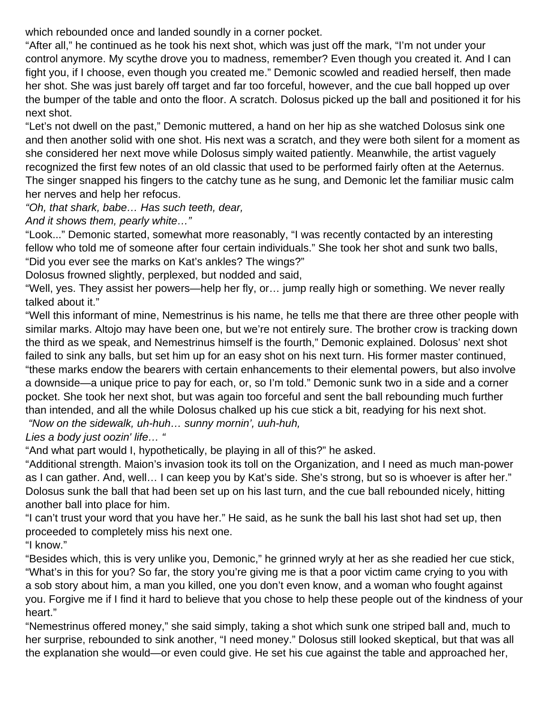which rebounded once and landed soundly in a corner pocket.

"After all," he continued as he took his next shot, which was just off the mark, "I'm not under your control anymore. My scythe drove you to madness, remember? Even though you created it. And I can fight you, if I choose, even though you created me." Demonic scowled and readied herself, then made her shot. She was just barely off target and far too forceful, however, and the cue ball hopped up over the bumper of the table and onto the floor. A scratch. Dolosus picked up the ball and positioned it for his next shot.

"Let's not dwell on the past," Demonic muttered, a hand on her hip as she watched Dolosus sink one and then another solid with one shot. His next was a scratch, and they were both silent for a moment as she considered her next move while Dolosus simply waited patiently. Meanwhile, the artist vaguely recognized the first few notes of an old classic that used to be performed fairly often at the Aeternus. The singer snapped his fingers to the catchy tune as he sung, and Demonic let the familiar music calm her nerves and help her refocus.

"Oh, that shark, babe… Has such teeth, dear,

And it shows them, pearly white…"

"Look..." Demonic started, somewhat more reasonably, "I was recently contacted by an interesting fellow who told me of someone after four certain individuals." She took her shot and sunk two balls, "Did you ever see the marks on Kat's ankles? The wings?"

Dolosus frowned slightly, perplexed, but nodded and said,

"Well, yes. They assist her powers—help her fly, or… jump really high or something. We never really talked about it."

"Well this informant of mine, Nemestrinus is his name, he tells me that there are three other people with similar marks. Altojo may have been one, but we're not entirely sure. The brother crow is tracking down the third as we speak, and Nemestrinus himself is the fourth," Demonic explained. Dolosus' next shot failed to sink any balls, but set him up for an easy shot on his next turn. His former master continued, "these marks endow the bearers with certain enhancements to their elemental powers, but also involve a downside—a unique price to pay for each, or, so I'm told." Demonic sunk two in a side and a corner pocket. She took her next shot, but was again too forceful and sent the ball rebounding much further than intended, and all the while Dolosus chalked up his cue stick a bit, readying for his next shot.

"Now on the sidewalk, uh-huh… sunny mornin', uuh-huh,

Lies a body just oozin' life... "

"And what part would I, hypothetically, be playing in all of this?" he asked.

"Additional strength. Maion's invasion took its toll on the Organization, and I need as much man-power as I can gather. And, well… I can keep you by Kat's side. She's strong, but so is whoever is after her." Dolosus sunk the ball that had been set up on his last turn, and the cue ball rebounded nicely, hitting another ball into place for him.

"I can't trust your word that you have her." He said, as he sunk the ball his last shot had set up, then proceeded to completely miss his next one.

"I know."

"Besides which, this is very unlike you, Demonic," he grinned wryly at her as she readied her cue stick, "What's in this for you? So far, the story you're giving me is that a poor victim came crying to you with a sob story about him, a man you killed, one you don't even know, and a woman who fought against you. Forgive me if I find it hard to believe that you chose to help these people out of the kindness of your heart."

"Nemestrinus offered money," she said simply, taking a shot which sunk one striped ball and, much to her surprise, rebounded to sink another, "I need money." Dolosus still looked skeptical, but that was all the explanation she would—or even could give. He set his cue against the table and approached her,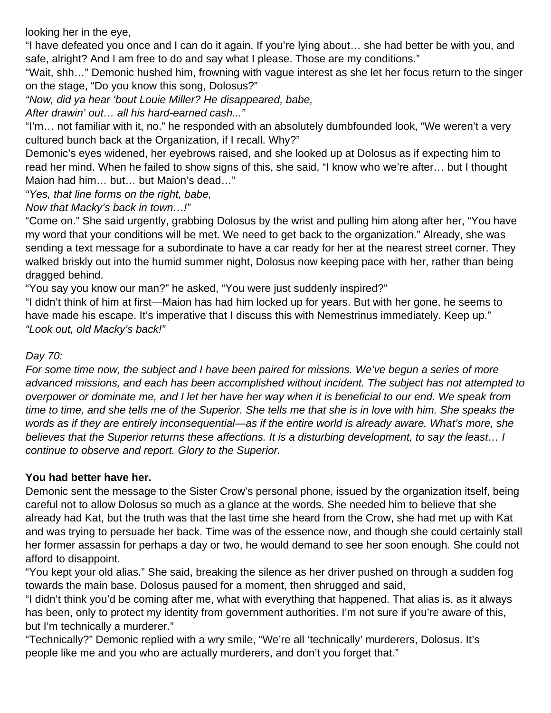looking her in the eye,

"I have defeated you once and I can do it again. If you're lying about… she had better be with you, and safe, alright? And I am free to do and say what I please. Those are my conditions."

"Wait, shh…" Demonic hushed him, frowning with vague interest as she let her focus return to the singer on the stage, "Do you know this song, Dolosus?"

"Now, did ya hear 'bout Louie Miller? He disappeared, babe,

After drawin' out… all his hard-earned cash..."

"I'm… not familiar with it, no." he responded with an absolutely dumbfounded look, "We weren't a very cultured bunch back at the Organization, if I recall. Why?"

Demonic's eyes widened, her eyebrows raised, and she looked up at Dolosus as if expecting him to read her mind. When he failed to show signs of this, she said, "I know who we're after… but I thought Maion had him… but… but Maion's dead…"

"Yes, that line forms on the right, babe,

Now that Macky's back in town…!"

"Come on." She said urgently, grabbing Dolosus by the wrist and pulling him along after her, "You have my word that your conditions will be met. We need to get back to the organization." Already, she was sending a text message for a subordinate to have a car ready for her at the nearest street corner. They walked briskly out into the humid summer night, Dolosus now keeping pace with her, rather than being dragged behind.

"You say you know our man?" he asked, "You were just suddenly inspired?"

"I didn't think of him at first—Maion has had him locked up for years. But with her gone, he seems to have made his escape. It's imperative that I discuss this with Nemestrinus immediately. Keep up." "Look out, old Macky's back!"

### Day 70:

For some time now, the subject and I have been paired for missions. We've begun a series of more advanced missions, and each has been accomplished without incident. The subject has not attempted to overpower or dominate me, and I let her have her way when it is beneficial to our end. We speak from time to time, and she tells me of the Superior. She tells me that she is in love with him. She speaks the words as if they are entirely inconsequential—as if the entire world is already aware. What's more, she believes that the Superior returns these affections. It is a disturbing development, to say the least… I continue to observe and report. Glory to the Superior.

#### **You had better have her.**

Demonic sent the message to the Sister Crow's personal phone, issued by the organization itself, being careful not to allow Dolosus so much as a glance at the words. She needed him to believe that she already had Kat, but the truth was that the last time she heard from the Crow, she had met up with Kat and was trying to persuade her back. Time was of the essence now, and though she could certainly stall her former assassin for perhaps a day or two, he would demand to see her soon enough. She could not afford to disappoint.

"You kept your old alias." She said, breaking the silence as her driver pushed on through a sudden fog towards the main base. Dolosus paused for a moment, then shrugged and said,

"I didn't think you'd be coming after me, what with everything that happened. That alias is, as it always has been, only to protect my identity from government authorities. I'm not sure if you're aware of this, but I'm technically a murderer."

"Technically?" Demonic replied with a wry smile, "We're all 'technically' murderers, Dolosus. It's people like me and you who are actually murderers, and don't you forget that."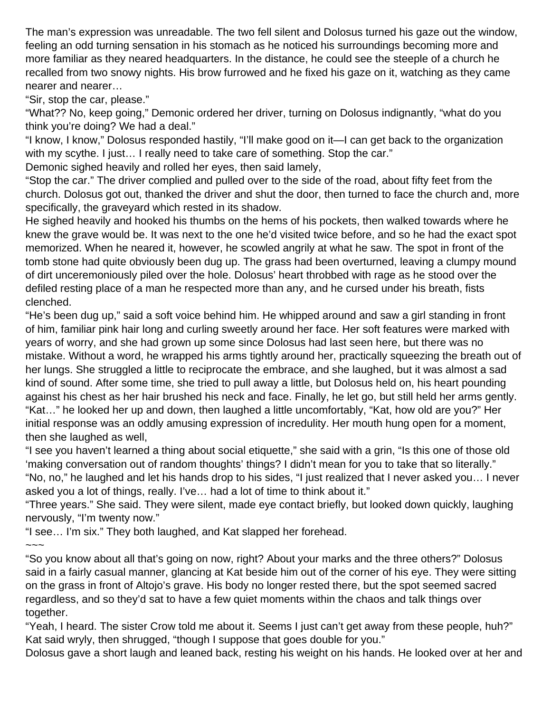The man's expression was unreadable. The two fell silent and Dolosus turned his gaze out the window, feeling an odd turning sensation in his stomach as he noticed his surroundings becoming more and more familiar as they neared headquarters. In the distance, he could see the steeple of a church he recalled from two snowy nights. His brow furrowed and he fixed his gaze on it, watching as they came nearer and nearer…

"Sir, stop the car, please."

"What?? No, keep going," Demonic ordered her driver, turning on Dolosus indignantly, "what do you think you're doing? We had a deal."

"I know, I know," Dolosus responded hastily, "I'll make good on it—I can get back to the organization with my scythe. I just... I really need to take care of something. Stop the car."

Demonic sighed heavily and rolled her eyes, then said lamely,

"Stop the car." The driver complied and pulled over to the side of the road, about fifty feet from the church. Dolosus got out, thanked the driver and shut the door, then turned to face the church and, more specifically, the graveyard which rested in its shadow.

He sighed heavily and hooked his thumbs on the hems of his pockets, then walked towards where he knew the grave would be. It was next to the one he'd visited twice before, and so he had the exact spot memorized. When he neared it, however, he scowled angrily at what he saw. The spot in front of the tomb stone had quite obviously been dug up. The grass had been overturned, leaving a clumpy mound of dirt unceremoniously piled over the hole. Dolosus' heart throbbed with rage as he stood over the defiled resting place of a man he respected more than any, and he cursed under his breath, fists clenched.

"He's been dug up," said a soft voice behind him. He whipped around and saw a girl standing in front of him, familiar pink hair long and curling sweetly around her face. Her soft features were marked with years of worry, and she had grown up some since Dolosus had last seen here, but there was no mistake. Without a word, he wrapped his arms tightly around her, practically squeezing the breath out of her lungs. She struggled a little to reciprocate the embrace, and she laughed, but it was almost a sad kind of sound. After some time, she tried to pull away a little, but Dolosus held on, his heart pounding against his chest as her hair brushed his neck and face. Finally, he let go, but still held her arms gently. "Kat…" he looked her up and down, then laughed a little uncomfortably, "Kat, how old are you?" Her initial response was an oddly amusing expression of incredulity. Her mouth hung open for a moment, then she laughed as well,

"I see you haven't learned a thing about social etiquette," she said with a grin, "Is this one of those old 'making conversation out of random thoughts' things? I didn't mean for you to take that so literally." "No, no," he laughed and let his hands drop to his sides, "I just realized that I never asked you… I never asked you a lot of things, really. I've… had a lot of time to think about it."

"Three years." She said. They were silent, made eye contact briefly, but looked down quickly, laughing nervously, "I'm twenty now."

"I see… I'm six." They both laughed, and Kat slapped her forehead.  $\sim\sim\sim$ 

"So you know about all that's going on now, right? About your marks and the three others?" Dolosus said in a fairly casual manner, glancing at Kat beside him out of the corner of his eye. They were sitting on the grass in front of Altojo's grave. His body no longer rested there, but the spot seemed sacred regardless, and so they'd sat to have a few quiet moments within the chaos and talk things over together.

"Yeah, I heard. The sister Crow told me about it. Seems I just can't get away from these people, huh?" Kat said wryly, then shrugged, "though I suppose that goes double for you."

Dolosus gave a short laugh and leaned back, resting his weight on his hands. He looked over at her and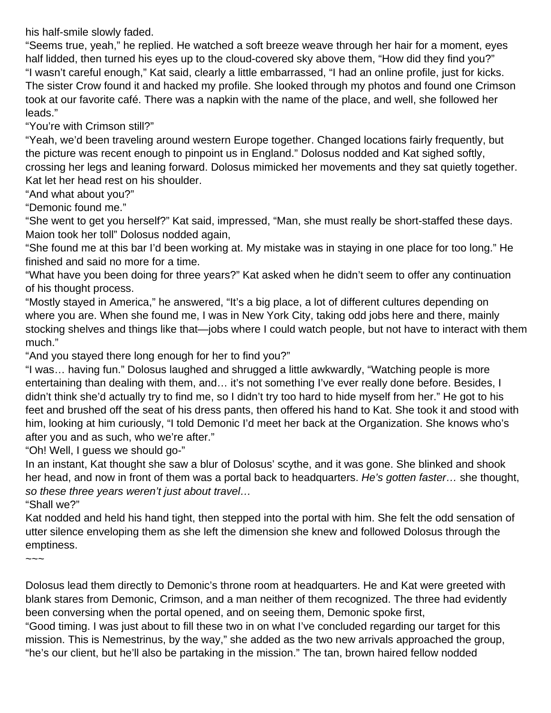his half-smile slowly faded.

"Seems true, yeah," he replied. He watched a soft breeze weave through her hair for a moment, eyes half lidded, then turned his eyes up to the cloud-covered sky above them, "How did they find you?" "I wasn't careful enough," Kat said, clearly a little embarrassed, "I had an online profile, just for kicks. The sister Crow found it and hacked my profile. She looked through my photos and found one Crimson took at our favorite café. There was a napkin with the name of the place, and well, she followed her leads."

"You're with Crimson still?"

"Yeah, we'd been traveling around western Europe together. Changed locations fairly frequently, but the picture was recent enough to pinpoint us in England." Dolosus nodded and Kat sighed softly, crossing her legs and leaning forward. Dolosus mimicked her movements and they sat quietly together. Kat let her head rest on his shoulder.

"And what about you?"

"Demonic found me."

"She went to get you herself?" Kat said, impressed, "Man, she must really be short-staffed these days. Maion took her toll" Dolosus nodded again,

"She found me at this bar I'd been working at. My mistake was in staying in one place for too long." He finished and said no more for a time.

"What have you been doing for three years?" Kat asked when he didn't seem to offer any continuation of his thought process.

"Mostly stayed in America," he answered, "It's a big place, a lot of different cultures depending on where you are. When she found me, I was in New York City, taking odd jobs here and there, mainly stocking shelves and things like that—jobs where I could watch people, but not have to interact with them much."

"And you stayed there long enough for her to find you?"

"I was… having fun." Dolosus laughed and shrugged a little awkwardly, "Watching people is more entertaining than dealing with them, and… it's not something I've ever really done before. Besides, I didn't think she'd actually try to find me, so I didn't try too hard to hide myself from her." He got to his feet and brushed off the seat of his dress pants, then offered his hand to Kat. She took it and stood with him, looking at him curiously, "I told Demonic I'd meet her back at the Organization. She knows who's after you and as such, who we're after."

"Oh! Well, I guess we should go-"

In an instant, Kat thought she saw a blur of Dolosus' scythe, and it was gone. She blinked and shook her head, and now in front of them was a portal back to headquarters. He's gotten faster... she thought, so these three years weren't just about travel...

"Shall we?"

Kat nodded and held his hand tight, then stepped into the portal with him. She felt the odd sensation of utter silence enveloping them as she left the dimension she knew and followed Dolosus through the emptiness.

 $\sim\sim\sim$ 

Dolosus lead them directly to Demonic's throne room at headquarters. He and Kat were greeted with blank stares from Demonic, Crimson, and a man neither of them recognized. The three had evidently been conversing when the portal opened, and on seeing them, Demonic spoke first,

"Good timing. I was just about to fill these two in on what I've concluded regarding our target for this mission. This is Nemestrinus, by the way," she added as the two new arrivals approached the group, "he's our client, but he'll also be partaking in the mission." The tan, brown haired fellow nodded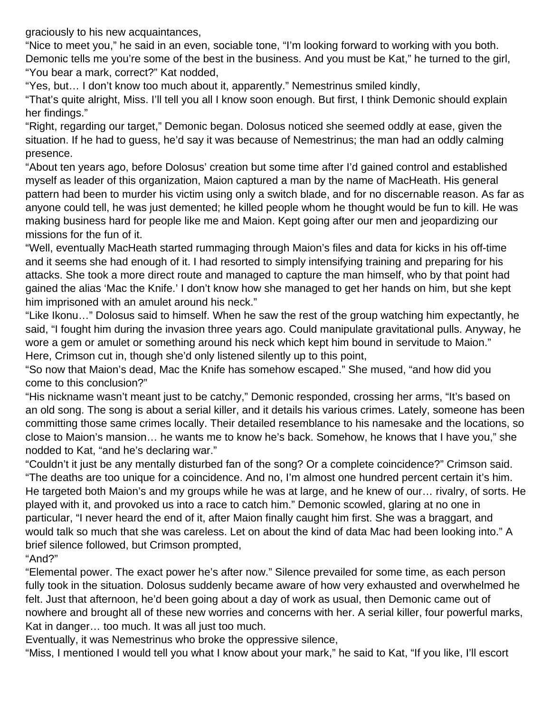graciously to his new acquaintances,

"Nice to meet you," he said in an even, sociable tone, "I'm looking forward to working with you both. Demonic tells me you're some of the best in the business. And you must be Kat," he turned to the girl, "You bear a mark, correct?" Kat nodded,

"Yes, but… I don't know too much about it, apparently." Nemestrinus smiled kindly,

"That's quite alright, Miss. I'll tell you all I know soon enough. But first, I think Demonic should explain her findings."

"Right, regarding our target," Demonic began. Dolosus noticed she seemed oddly at ease, given the situation. If he had to guess, he'd say it was because of Nemestrinus; the man had an oddly calming presence.

"About ten years ago, before Dolosus' creation but some time after I'd gained control and established myself as leader of this organization, Maion captured a man by the name of MacHeath. His general pattern had been to murder his victim using only a switch blade, and for no discernable reason. As far as anyone could tell, he was just demented; he killed people whom he thought would be fun to kill. He was making business hard for people like me and Maion. Kept going after our men and jeopardizing our missions for the fun of it.

"Well, eventually MacHeath started rummaging through Maion's files and data for kicks in his off-time and it seems she had enough of it. I had resorted to simply intensifying training and preparing for his attacks. She took a more direct route and managed to capture the man himself, who by that point had gained the alias 'Mac the Knife.' I don't know how she managed to get her hands on him, but she kept him imprisoned with an amulet around his neck."

"Like Ikonu…" Dolosus said to himself. When he saw the rest of the group watching him expectantly, he said, "I fought him during the invasion three years ago. Could manipulate gravitational pulls. Anyway, he wore a gem or amulet or something around his neck which kept him bound in servitude to Maion." Here, Crimson cut in, though she'd only listened silently up to this point,

"So now that Maion's dead, Mac the Knife has somehow escaped." She mused, "and how did you come to this conclusion?"

"His nickname wasn't meant just to be catchy," Demonic responded, crossing her arms, "It's based on an old song. The song is about a serial killer, and it details his various crimes. Lately, someone has been committing those same crimes locally. Their detailed resemblance to his namesake and the locations, so close to Maion's mansion… he wants me to know he's back. Somehow, he knows that I have you," she nodded to Kat, "and he's declaring war."

"Couldn't it just be any mentally disturbed fan of the song? Or a complete coincidence?" Crimson said. "The deaths are too unique for a coincidence. And no, I'm almost one hundred percent certain it's him. He targeted both Maion's and my groups while he was at large, and he knew of our… rivalry, of sorts. He played with it, and provoked us into a race to catch him." Demonic scowled, glaring at no one in particular, "I never heard the end of it, after Maion finally caught him first. She was a braggart, and would talk so much that she was careless. Let on about the kind of data Mac had been looking into." A brief silence followed, but Crimson prompted,

"And?"

"Elemental power. The exact power he's after now." Silence prevailed for some time, as each person fully took in the situation. Dolosus suddenly became aware of how very exhausted and overwhelmed he felt. Just that afternoon, he'd been going about a day of work as usual, then Demonic came out of nowhere and brought all of these new worries and concerns with her. A serial killer, four powerful marks, Kat in danger… too much. It was all just too much.

Eventually, it was Nemestrinus who broke the oppressive silence,

"Miss, I mentioned I would tell you what I know about your mark," he said to Kat, "If you like, I'll escort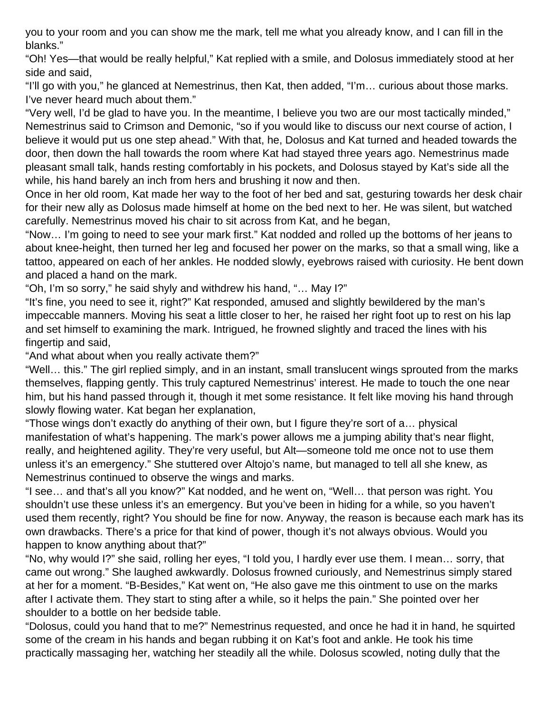you to your room and you can show me the mark, tell me what you already know, and I can fill in the blanks."

"Oh! Yes—that would be really helpful," Kat replied with a smile, and Dolosus immediately stood at her side and said,

"I'll go with you," he glanced at Nemestrinus, then Kat, then added, "I'm… curious about those marks. I've never heard much about them."

"Very well, I'd be glad to have you. In the meantime, I believe you two are our most tactically minded," Nemestrinus said to Crimson and Demonic, "so if you would like to discuss our next course of action, I believe it would put us one step ahead." With that, he, Dolosus and Kat turned and headed towards the door, then down the hall towards the room where Kat had stayed three years ago. Nemestrinus made pleasant small talk, hands resting comfortably in his pockets, and Dolosus stayed by Kat's side all the while, his hand barely an inch from hers and brushing it now and then.

Once in her old room, Kat made her way to the foot of her bed and sat, gesturing towards her desk chair for their new ally as Dolosus made himself at home on the bed next to her. He was silent, but watched carefully. Nemestrinus moved his chair to sit across from Kat, and he began,

"Now… I'm going to need to see your mark first." Kat nodded and rolled up the bottoms of her jeans to about knee-height, then turned her leg and focused her power on the marks, so that a small wing, like a tattoo, appeared on each of her ankles. He nodded slowly, eyebrows raised with curiosity. He bent down and placed a hand on the mark.

"Oh, I'm so sorry," he said shyly and withdrew his hand, "… May I?"

"It's fine, you need to see it, right?" Kat responded, amused and slightly bewildered by the man's impeccable manners. Moving his seat a little closer to her, he raised her right foot up to rest on his lap and set himself to examining the mark. Intrigued, he frowned slightly and traced the lines with his fingertip and said,

"And what about when you really activate them?"

"Well… this." The girl replied simply, and in an instant, small translucent wings sprouted from the marks themselves, flapping gently. This truly captured Nemestrinus' interest. He made to touch the one near him, but his hand passed through it, though it met some resistance. It felt like moving his hand through slowly flowing water. Kat began her explanation,

"Those wings don't exactly do anything of their own, but I figure they're sort of a… physical manifestation of what's happening. The mark's power allows me a jumping ability that's near flight, really, and heightened agility. They're very useful, but Alt—someone told me once not to use them unless it's an emergency." She stuttered over Altojo's name, but managed to tell all she knew, as Nemestrinus continued to observe the wings and marks.

"I see… and that's all you know?" Kat nodded, and he went on, "Well… that person was right. You shouldn't use these unless it's an emergency. But you've been in hiding for a while, so you haven't used them recently, right? You should be fine for now. Anyway, the reason is because each mark has its own drawbacks. There's a price for that kind of power, though it's not always obvious. Would you happen to know anything about that?"

"No, why would I?" she said, rolling her eyes, "I told you, I hardly ever use them. I mean… sorry, that came out wrong." She laughed awkwardly. Dolosus frowned curiously, and Nemestrinus simply stared at her for a moment. "B-Besides," Kat went on, "He also gave me this ointment to use on the marks after I activate them. They start to sting after a while, so it helps the pain." She pointed over her shoulder to a bottle on her bedside table.

"Dolosus, could you hand that to me?" Nemestrinus requested, and once he had it in hand, he squirted some of the cream in his hands and began rubbing it on Kat's foot and ankle. He took his time practically massaging her, watching her steadily all the while. Dolosus scowled, noting dully that the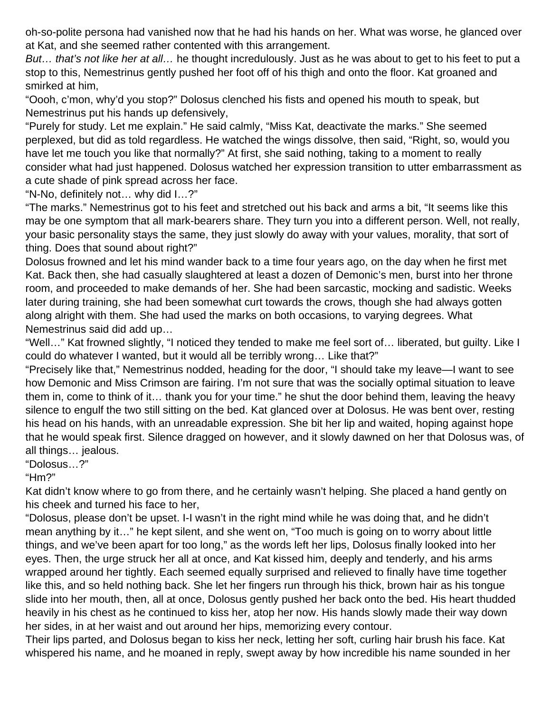oh-so-polite persona had vanished now that he had his hands on her. What was worse, he glanced over at Kat, and she seemed rather contented with this arrangement.

But... that's not like her at all... he thought incredulously. Just as he was about to get to his feet to put a stop to this, Nemestrinus gently pushed her foot off of his thigh and onto the floor. Kat groaned and smirked at him,

"Oooh, c'mon, why'd you stop?" Dolosus clenched his fists and opened his mouth to speak, but Nemestrinus put his hands up defensively,

"Purely for study. Let me explain." He said calmly, "Miss Kat, deactivate the marks." She seemed perplexed, but did as told regardless. He watched the wings dissolve, then said, "Right, so, would you have let me touch you like that normally?" At first, she said nothing, taking to a moment to really consider what had just happened. Dolosus watched her expression transition to utter embarrassment as a cute shade of pink spread across her face.

"N-No, definitely not… why did I…?"

"The marks." Nemestrinus got to his feet and stretched out his back and arms a bit, "It seems like this may be one symptom that all mark-bearers share. They turn you into a different person. Well, not really, your basic personality stays the same, they just slowly do away with your values, morality, that sort of thing. Does that sound about right?"

Dolosus frowned and let his mind wander back to a time four years ago, on the day when he first met Kat. Back then, she had casually slaughtered at least a dozen of Demonic's men, burst into her throne room, and proceeded to make demands of her. She had been sarcastic, mocking and sadistic. Weeks later during training, she had been somewhat curt towards the crows, though she had always gotten along alright with them. She had used the marks on both occasions, to varying degrees. What Nemestrinus said did add up…

"Well…" Kat frowned slightly, "I noticed they tended to make me feel sort of… liberated, but guilty. Like I could do whatever I wanted, but it would all be terribly wrong… Like that?"

"Precisely like that," Nemestrinus nodded, heading for the door, "I should take my leave—I want to see how Demonic and Miss Crimson are fairing. I'm not sure that was the socially optimal situation to leave them in, come to think of it… thank you for your time." he shut the door behind them, leaving the heavy silence to engulf the two still sitting on the bed. Kat glanced over at Dolosus. He was bent over, resting his head on his hands, with an unreadable expression. She bit her lip and waited, hoping against hope that he would speak first. Silence dragged on however, and it slowly dawned on her that Dolosus was, of all things… jealous.

"Dolosus…?"

"Hm?"

Kat didn't know where to go from there, and he certainly wasn't helping. She placed a hand gently on his cheek and turned his face to her,

"Dolosus, please don't be upset. I-I wasn't in the right mind while he was doing that, and he didn't mean anything by it…" he kept silent, and she went on, "Too much is going on to worry about little things, and we've been apart for too long," as the words left her lips, Dolosus finally looked into her eyes. Then, the urge struck her all at once, and Kat kissed him, deeply and tenderly, and his arms wrapped around her tightly. Each seemed equally surprised and relieved to finally have time together like this, and so held nothing back. She let her fingers run through his thick, brown hair as his tongue slide into her mouth, then, all at once, Dolosus gently pushed her back onto the bed. His heart thudded heavily in his chest as he continued to kiss her, atop her now. His hands slowly made their way down her sides, in at her waist and out around her hips, memorizing every contour.

Their lips parted, and Dolosus began to kiss her neck, letting her soft, curling hair brush his face. Kat whispered his name, and he moaned in reply, swept away by how incredible his name sounded in her